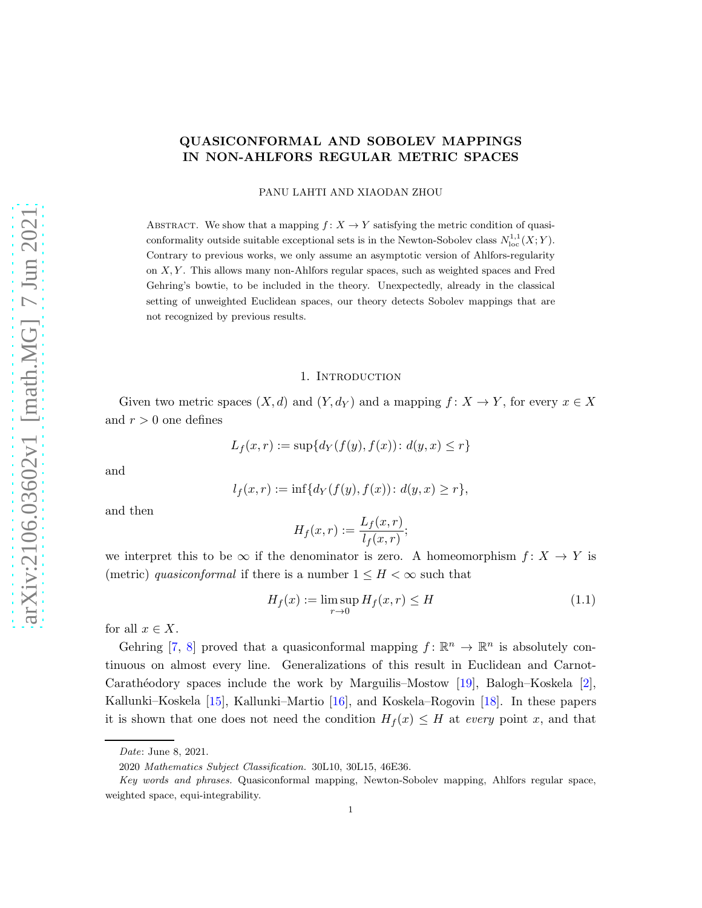# <span id="page-0-1"></span>QUASICONFORMAL AND SOBOLEV MAPPINGS IN NON-AHLFORS REGULAR METRIC SPACES

PANU LAHTI AND XIAODAN ZHOU

ABSTRACT. We show that a mapping  $f: X \to Y$  satisfying the metric condition of quasiconformality outside suitable exceptional sets is in the Newton-Sobolev class  $N^{1,1}_{loc}(X;Y)$ . Contrary to previous works, we only assume an asymptotic version of Ahlfors-regularity on  $X, Y$ . This allows many non-Ahlfors regular spaces, such as weighted spaces and Fred Gehring's bowtie, to be included in the theory. Unexpectedly, already in the classical setting of unweighted Euclidean spaces, our theory detects Sobolev mappings that are not recognized by previous results.

### 1. Introduction

Given two metric spaces  $(X, d)$  and  $(Y, d_Y)$  and a mapping  $f: X \to Y$ , for every  $x \in X$ and  $r > 0$  one defines

$$
L_f(x,r) := \sup\{d_Y(f(y), f(x)) : d(y,x) \le r\}
$$

and

$$
l_f(x,r) := \inf\{d_Y(f(y), f(x)) : d(y,x) \ge r\},\
$$

and then

$$
H_f(x,r) := \frac{L_f(x,r)}{l_f(x,r)};
$$

we interpret this to be  $\infty$  if the denominator is zero. A homeomorphism  $f: X \to Y$  is (metric) quasiconformal if there is a number  $1 \leq H < \infty$  such that

<span id="page-0-0"></span>
$$
H_f(x) := \limsup_{r \to 0} H_f(x, r) \le H \tag{1.1}
$$

for all  $x \in X$ .

Gehring [\[7,](#page-25-0) [8\]](#page-25-1) proved that a quasiconformal mapping  $f: \mathbb{R}^n \to \mathbb{R}^n$  is absolutely continuous on almost every line. Generalizations of this result in Euclidean and Carnot-Carathéodory spaces include the work by Marguilis–Mostow [\[19\]](#page-26-0), Balogh–Koskela [\[2\]](#page-25-2), Kallunki–Koskela [\[15\]](#page-26-1), Kallunki–Martio [\[16\]](#page-26-2), and Koskela–Rogovin [\[18\]](#page-26-3). In these papers it is shown that one does not need the condition  $H_f(x) \leq H$  at every point x, and that

Date: June 8, 2021.

<sup>2020</sup> Mathematics Subject Classification. 30L10, 30L15, 46E36.

Key words and phrases. Quasiconformal mapping, Newton-Sobolev mapping, Ahlfors regular space, weighted space, equi-integrability.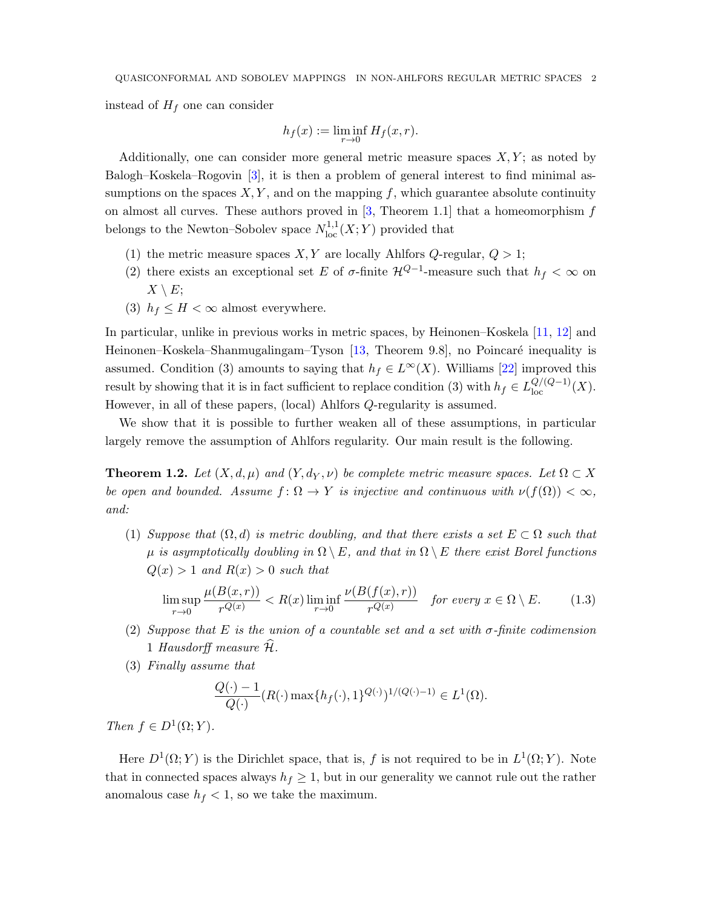<span id="page-1-2"></span>instead of  $H_f$  one can consider

$$
h_f(x) := \liminf_{r \to 0} H_f(x,r).
$$

Additionally, one can consider more general metric measure spaces  $X, Y$ ; as noted by Balogh–Koskela–Rogovin [\[3\]](#page-25-3), it is then a problem of general interest to find minimal assumptions on the spaces  $X, Y$ , and on the mapping f, which guarantee absolute continuity on almost all curves. These authors proved in  $[3,$  Theorem 1.1 that a homeomorphism f belongs to the Newton–Sobolev space  $N^{1,1}_{loc}(X;Y)$  provided that

- (1) the metric measure spaces  $X, Y$  are locally Ahlfors  $Q$ -regular,  $Q > 1$ ;
- (2) there exists an exceptional set E of  $\sigma$ -finite  $\mathcal{H}^{Q-1}$ -measure such that  $h_f < \infty$  on  $X \setminus E$ ;
- (3)  $h_f \leq H < \infty$  almost everywhere.

In particular, unlike in previous works in metric spaces, by Heinonen–Koskela [\[11,](#page-25-4) [12\]](#page-25-5) and Heinonen–Koskela–Shanmugalingam–Tyson [\[13,](#page-25-6) Theorem 9.8], no Poincaré inequality is assumed. Condition (3) amounts to saying that  $h_f \in L^{\infty}(X)$ . Williams [\[22\]](#page-26-4) improved this result by showing that it is in fact sufficient to replace condition (3) with  $h_f \in L^{Q/(Q-1)}_{loc}(X)$ . However, in all of these papers, (local) Ahlfors Q-regularity is assumed.

We show that it is possible to further weaken all of these assumptions, in particular largely remove the assumption of Ahlfors regularity. Our main result is the following.

<span id="page-1-1"></span>**Theorem 1.2.** Let  $(X, d, \mu)$  and  $(Y, d_Y, \nu)$  be complete metric measure spaces. Let  $\Omega \subset X$ be open and bounded. Assume  $f: \Omega \to Y$  is injective and continuous with  $\nu(f(\Omega)) < \infty$ , and:

(1) Suppose that  $(\Omega, d)$  is metric doubling, and that there exists a set  $E \subset \Omega$  such that  $\mu$  is asymptotically doubling in  $\Omega \setminus E$ , and that in  $\Omega \setminus E$  there exist Borel functions  $Q(x) > 1$  and  $R(x) > 0$  such that

<span id="page-1-0"></span>
$$
\limsup_{r \to 0} \frac{\mu(B(x,r))}{r^{Q(x)}} < R(x) \liminf_{r \to 0} \frac{\nu(B(f(x),r))}{r^{Q(x)}} \quad \text{for every } x \in \Omega \setminus E. \tag{1.3}
$$

- (2) Suppose that E is the union of a countable set and a set with  $\sigma$ -finite codimension 1 Hausdorff measure  $\hat{\mathcal{H}}$ .
- (3) Finally assume that

$$
\frac{Q(\cdot) - 1}{Q(\cdot)} (R(\cdot) \max\{h_f(\cdot), 1\}^{Q(\cdot)})^{1/(Q(\cdot) - 1)} \in L^1(\Omega).
$$

Then  $f \in D^1(\Omega; Y)$ .

Here  $D^1(\Omega; Y)$  is the Dirichlet space, that is, f is not required to be in  $L^1(\Omega; Y)$ . Note that in connected spaces always  $h_f \geq 1$ , but in our generality we cannot rule out the rather anomalous case  $h_f < 1$ , so we take the maximum.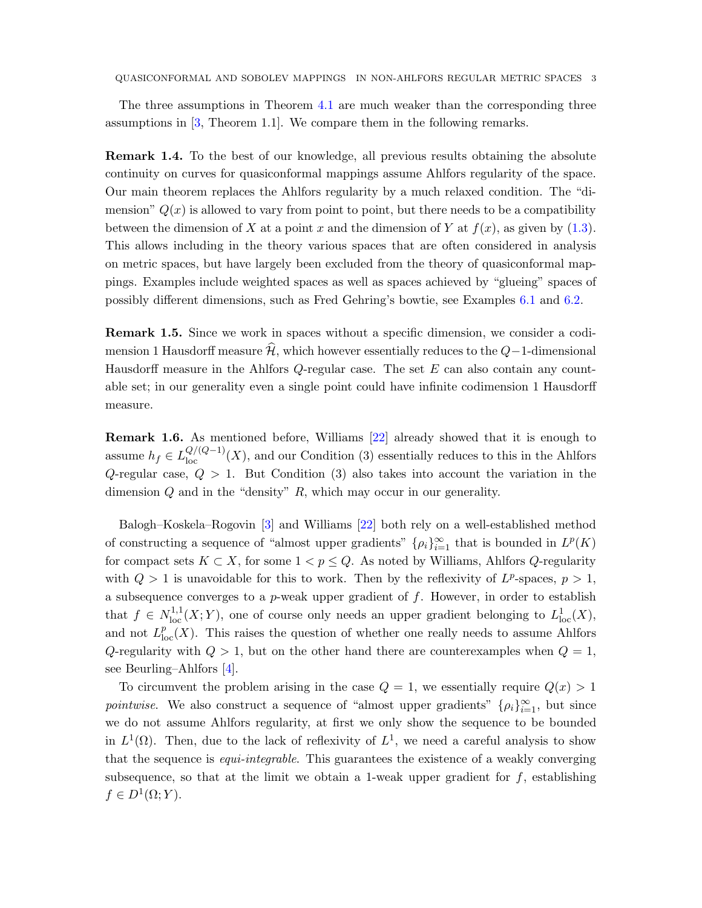<span id="page-2-0"></span>The three assumptions in Theorem [4.1](#page-8-0) are much weaker than the corresponding three assumptions in [\[3,](#page-25-3) Theorem 1.1]. We compare them in the following remarks.

Remark 1.4. To the best of our knowledge, all previous results obtaining the absolute continuity on curves for quasiconformal mappings assume Ahlfors regularity of the space. Our main theorem replaces the Ahlfors regularity by a much relaxed condition. The "dimension"  $Q(x)$  is allowed to vary from point to point, but there needs to be a compatibility between the dimension of X at a point x and the dimension of Y at  $f(x)$ , as given by [\(1.3\)](#page-1-0). This allows including in the theory various spaces that are often considered in analysis on metric spaces, but have largely been excluded from the theory of quasiconformal mappings. Examples include weighted spaces as well as spaces achieved by "glueing" spaces of possibly different dimensions, such as Fred Gehring's bowtie, see Examples [6.1](#page-20-0) and [6.2.](#page-20-1)

Remark 1.5. Since we work in spaces without a specific dimension, we consider a codimension 1 Hausdorff measure  $\hat{\mathcal{H}}$ , which however essentially reduces to the  $Q-1$ -dimensional Hausdorff measure in the Ahlfors  $Q$ -regular case. The set  $E$  can also contain any countable set; in our generality even a single point could have infinite codimension 1 Hausdorff measure.

Remark 1.6. As mentioned before, Williams [\[22\]](#page-26-4) already showed that it is enough to assume  $h_f \in L_{loc}^{Q/(Q-1)}(X)$ , and our Condition (3) essentially reduces to this in the Ahlfors Q-regular case,  $Q > 1$ . But Condition (3) also takes into account the variation in the dimension  $Q$  and in the "density"  $R$ , which may occur in our generality.

Balogh–Koskela–Rogovin [\[3\]](#page-25-3) and Williams [\[22\]](#page-26-4) both rely on a well-established method of constructing a sequence of "almost upper gradients"  $\{\rho_i\}_{i=1}^{\infty}$  that is bounded in  $L^p(K)$ for compact sets  $K \subset X$ , for some  $1 < p \leq Q$ . As noted by Williams, Ahlfors  $Q$ -regularity with  $Q > 1$  is unavoidable for this to work. Then by the reflexivity of  $L^p$ -spaces,  $p > 1$ , a subsequence converges to a  $p$ -weak upper gradient of  $f$ . However, in order to establish that  $f \in N^{1,1}_{loc}(X;Y)$ , one of course only needs an upper gradient belonging to  $L^1_{loc}(X)$ , and not  $L_{\text{loc}}^p(X)$ . This raises the question of whether one really needs to assume Ahlfors Q-regularity with  $Q > 1$ , but on the other hand there are counterexamples when  $Q = 1$ , see Beurling–Ahlfors [\[4\]](#page-25-7).

To circumvent the problem arising in the case  $Q = 1$ , we essentially require  $Q(x) > 1$ pointwise. We also construct a sequence of "almost upper gradients"  $\{\rho_i\}_{i=1}^{\infty}$ , but since we do not assume Ahlfors regularity, at first we only show the sequence to be bounded in  $L^1(\Omega)$ . Then, due to the lack of reflexivity of  $L^1$ , we need a careful analysis to show that the sequence is *equi-integrable*. This guarantees the existence of a weakly converging subsequence, so that at the limit we obtain a 1-weak upper gradient for  $f$ , establishing  $f \in D^1(\Omega; Y)$ .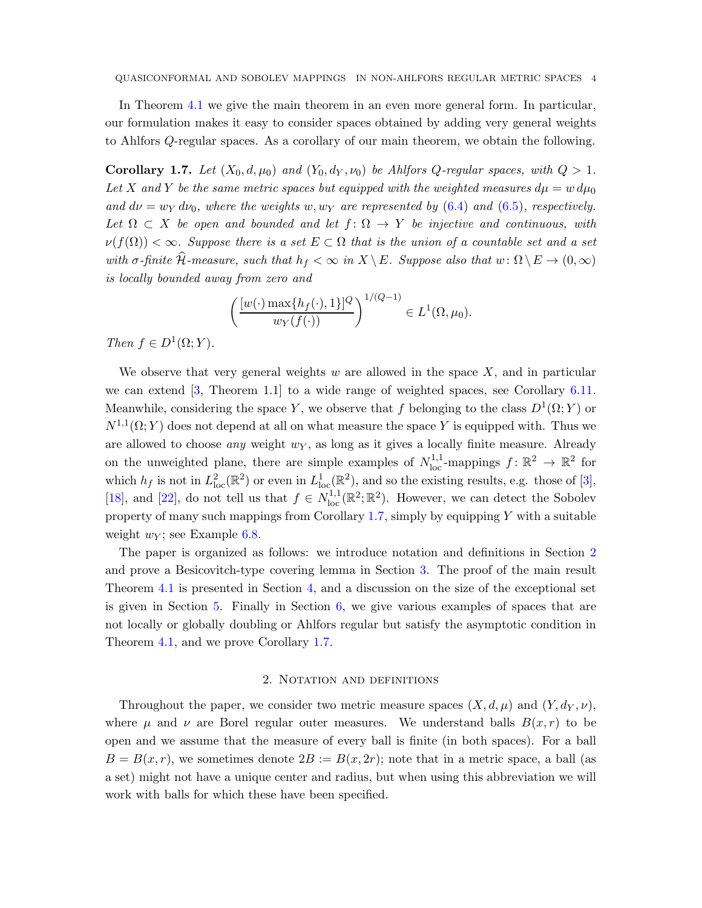<span id="page-3-2"></span>In Theorem [4.1](#page-8-0) we give the main theorem in an even more general form. In particular, our formulation makes it easy to consider spaces obtained by adding very general weights to Ahlfors Q-regular spaces. As a corollary of our main theorem, we obtain the following.

<span id="page-3-0"></span>Corollary 1.7. Let  $(X_0, d, \mu_0)$  and  $(Y_0, d_Y, \nu_0)$  be Ahlfors Q-regular spaces, with  $Q > 1$ . Let X and Y be the same metric spaces but equipped with the weighted measures  $d\mu = w d\mu_0$ and  $d\nu = w_Y d\nu_0$ , where the weights w, w<sub>Y</sub> are represented by [\(6.4\)](#page-21-0) and [\(6.5\)](#page-21-1), respectively. Let  $\Omega \subset X$  be open and bounded and let  $f: \Omega \to Y$  be injective and continuous, with  $\nu(f(\Omega)) < \infty$ . Suppose there is a set  $E \subset \Omega$  that is the union of a countable set and a set with  $\sigma$ -finite  $\widehat{\mathcal{H}}$ -measure, such that  $h_f < \infty$  in  $X \setminus E$ . Suppose also that  $w : \Omega \setminus E \to (0,\infty)$ is locally bounded away from zero and

$$
\left(\frac{[w(\cdot)\max\{h_f(\cdot),1\}]^Q}{w_Y(f(\cdot))}\right)^{1/(Q-1)} \in L^1(\Omega,\mu_0).
$$

Then  $f \in D^1(\Omega; Y)$ .

We observe that very general weights  $w$  are allowed in the space  $X$ , and in particular we can extend [\[3,](#page-25-3) Theorem 1.1] to a wide range of weighted spaces, see Corollary [6.11.](#page-24-0) Meanwhile, considering the space Y, we observe that f belonging to the class  $D^1(\Omega; Y)$  or  $N^{1,1}(\Omega; Y)$  does not depend at all on what measure the space Y is equipped with. Thus we are allowed to choose *any* weight  $w<sub>Y</sub>$ , as long as it gives a locally finite measure. Already on the unweighted plane, there are simple examples of  $N_{\text{loc}}^{1,1}$ -mappings  $f: \mathbb{R}^2 \to \mathbb{R}^2$  for which  $h_f$  is not in  $L^2_{loc}(\mathbb{R}^2)$  or even in  $L^1_{loc}(\mathbb{R}^2)$ , and so the existing results, e.g. those of [\[3\]](#page-25-3), [\[18\]](#page-26-3), and [\[22\]](#page-26-4), do not tell us that  $f \in N_{\text{loc}}^{1,1}(\mathbb{R}^2;\mathbb{R}^2)$ . However, we can detect the Sobolev property of many such mappings from Corollary [1.7,](#page-3-0) simply by equipping  $Y$  with a suitable weight  $w_Y$ ; see Example [6.8.](#page-22-0)

The paper is organized as follows: we introduce notation and definitions in Section [2](#page-3-1) and prove a Besicovitch-type covering lemma in Section [3.](#page-6-0) The proof of the main result Theorem [4.1](#page-8-0) is presented in Section [4,](#page-8-1) and a discussion on the size of the exceptional set is given in Section [5.](#page-17-0) Finally in Section [6,](#page-20-2) we give various examples of spaces that are not locally or globally doubling or Ahlfors regular but satisfy the asymptotic condition in Theorem [4.1,](#page-8-0) and we prove Corollary [1.7.](#page-3-0)

## 2. NOTATION AND DEFINITIONS

<span id="page-3-1"></span>Throughout the paper, we consider two metric measure spaces  $(X, d, \mu)$  and  $(Y, d_Y, \nu)$ , where  $\mu$  and  $\nu$  are Borel regular outer measures. We understand balls  $B(x,r)$  to be open and we assume that the measure of every ball is finite (in both spaces). For a ball  $B = B(x, r)$ , we sometimes denote  $2B := B(x, 2r)$ ; note that in a metric space, a ball (as a set) might not have a unique center and radius, but when using this abbreviation we will work with balls for which these have been specified.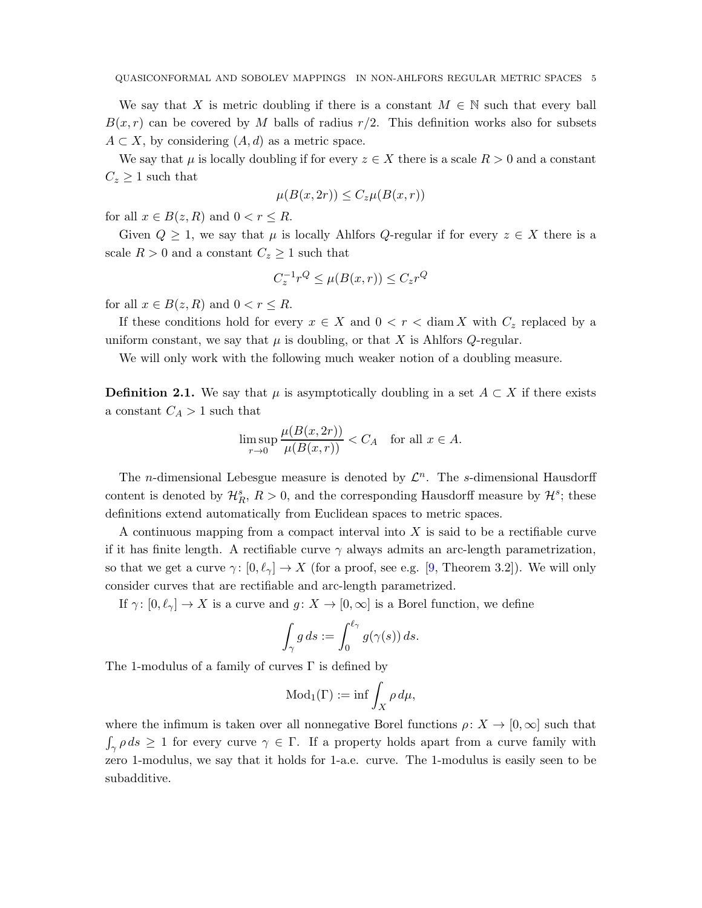<span id="page-4-0"></span>We say that X is metric doubling if there is a constant  $M \in \mathbb{N}$  such that every ball  $B(x, r)$  can be covered by M balls of radius  $r/2$ . This definition works also for subsets  $A \subset X$ , by considering  $(A, d)$  as a metric space.

We say that  $\mu$  is locally doubling if for every  $z \in X$  there is a scale  $R > 0$  and a constant  $C_z \geq 1$  such that

$$
\mu(B(x, 2r)) \le C_z \mu(B(x, r))
$$

for all  $x \in B(z, R)$  and  $0 < r \leq R$ .

Given  $Q \geq 1$ , we say that  $\mu$  is locally Ahlfors  $Q$ -regular if for every  $z \in X$  there is a scale  $R > 0$  and a constant  $C_z \geq 1$  such that

$$
C_z^{-1}r^Q \le \mu(B(x,r)) \le C_zr^Q
$$

for all  $x \in B(z, R)$  and  $0 < r \leq R$ .

If these conditions hold for every  $x \in X$  and  $0 < r <$  diam X with  $C_z$  replaced by a uniform constant, we say that  $\mu$  is doubling, or that X is Ahlfors Q-regular.

We will only work with the following much weaker notion of a doubling measure.

**Definition 2.1.** We say that  $\mu$  is asymptotically doubling in a set  $A \subset X$  if there exists a constant  $C_A > 1$  such that

$$
\limsup_{r \to 0} \frac{\mu(B(x, 2r))}{\mu(B(x, r))} < C_A \quad \text{for all } x \in A.
$$

The *n*-dimensional Lebesgue measure is denoted by  $\mathcal{L}^n$ . The *s*-dimensional Hausdorff content is denoted by  $\mathcal{H}_R^s$ ,  $R > 0$ , and the corresponding Hausdorff measure by  $\mathcal{H}^s$ ; these definitions extend automatically from Euclidean spaces to metric spaces.

A continuous mapping from a compact interval into  $X$  is said to be a rectifiable curve if it has finite length. A rectifiable curve  $\gamma$  always admits an arc-length parametrization, so that we get a curve  $\gamma: [0, \ell_{\gamma}] \to X$  (for a proof, see e.g. [\[9,](#page-25-8) Theorem 3.2]). We will only consider curves that are rectifiable and arc-length parametrized.

If  $\gamma: [0, \ell_{\gamma}] \to X$  is a curve and  $g: X \to [0, \infty]$  is a Borel function, we define

$$
\int_{\gamma} g ds := \int_0^{\ell_{\gamma}} g(\gamma(s)) ds.
$$

The 1-modulus of a family of curves  $\Gamma$  is defined by

$$
\text{Mod}_1(\Gamma) := \inf \int_X \rho \, d\mu,
$$

where the infimum is taken over all nonnegative Borel functions  $\rho: X \to [0,\infty]$  such that  $\int_{\gamma} \rho ds \geq 1$  for every curve  $\gamma \in \Gamma$ . If a property holds apart from a curve family with zero 1-modulus, we say that it holds for 1-a.e. curve. The 1-modulus is easily seen to be subadditive.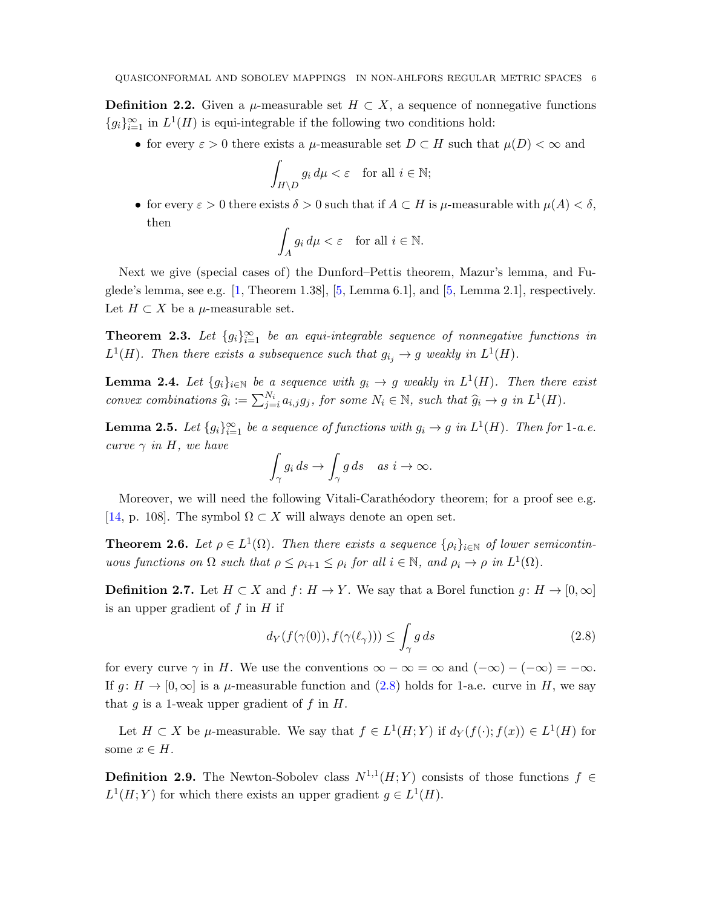<span id="page-5-6"></span><span id="page-5-2"></span>**Definition 2.2.** Given a  $\mu$ -measurable set  $H \subset X$ , a sequence of nonnegative functions  ${g_i}_{i=1}^{\infty}$  in  $L^1(H)$  is equi-integrable if the following two conditions hold:

• for every  $\varepsilon > 0$  there exists a  $\mu$ -measurable set  $D \subset H$  such that  $\mu(D) < \infty$  and

$$
\int_{H \setminus D} g_i \, d\mu < \varepsilon \quad \text{for all } i \in \mathbb{N};
$$

• for every  $\varepsilon > 0$  there exists  $\delta > 0$  such that if  $A \subset H$  is  $\mu$ -measurable with  $\mu(A) < \delta$ , then

$$
\int_A g_i \, d\mu < \varepsilon \quad \text{for all } i \in \mathbb{N}.
$$

Next we give (special cases of) the Dunford–Pettis theorem, Mazur's lemma, and Fuglede's lemma, see e.g.  $[1,$  Theorem 1.38,  $[5,$  Lemma 6.1, and  $[5,$  Lemma 2.1, respectively. Let  $H \subset X$  be a  $\mu$ -measurable set.

<span id="page-5-3"></span>**Theorem 2.3.** Let  ${g_i}_{i=1}^{\infty}$  be an equi-integrable sequence of nonnegative functions in  $L^1(H)$ . Then there exists a subsequence such that  $g_{i_j} \to g$  weakly in  $L^1(H)$ .

<span id="page-5-4"></span>**Lemma 2.4.** Let  $\{g_i\}_{i\in\mathbb{N}}$  be a sequence with  $g_i \to g$  weakly in  $L^1(H)$ . Then there exist convex combinations  $\widehat{g}_i := \sum_{j=i}^{N_i} a_{i,j} g_j$ , for some  $N_i \in \mathbb{N}$ , such that  $\widehat{g}_i \to g$  in  $L^1(H)$ .

<span id="page-5-5"></span>**Lemma 2.5.** Let  $\{g_i\}_{i=1}^{\infty}$  be a sequence of functions with  $g_i \to g$  in  $L^1(H)$ . Then for 1-a.e. curve  $\gamma$  in H, we have

$$
\int_{\gamma} g_i ds \to \int_{\gamma} g ds \quad as \ i \to \infty.
$$

Moreover, we will need the following Vitali-Carathéodory theorem; for a proof see e.g. [\[14,](#page-25-11) p. 108]. The symbol  $\Omega \subset X$  will always denote an open set.

<span id="page-5-1"></span>**Theorem 2.6.** Let  $\rho \in L^1(\Omega)$ . Then there exists a sequence  $\{\rho_i\}_{i\in\mathbb{N}}$  of lower semicontinuous functions on  $\Omega$  such that  $\rho \leq \rho_{i+1} \leq \rho_i$  for all  $i \in \mathbb{N}$ , and  $\rho_i \to \rho$  in  $L^1(\Omega)$ .

**Definition 2.7.** Let  $H \subset X$  and  $f: H \to Y$ . We say that a Borel function  $g: H \to [0,\infty]$ is an upper gradient of  $f$  in  $H$  if

<span id="page-5-0"></span>
$$
d_Y(f(\gamma(0)), f(\gamma(\ell_\gamma))) \le \int_\gamma g \, ds \tag{2.8}
$$

for every curve  $\gamma$  in H. We use the conventions  $\infty - \infty = \infty$  and  $(-\infty) - (-\infty) = -\infty$ . If  $g: H \to [0,\infty]$  is a  $\mu$ -measurable function and [\(2.8\)](#page-5-0) holds for 1-a.e. curve in H, we say that g is a 1-weak upper gradient of f in  $H$ .

Let  $H \subset X$  be  $\mu$ -measurable. We say that  $f \in L^1(H;Y)$  if  $d_Y(f(\cdot); f(x)) \in L^1(H)$  for some  $x \in H$ .

**Definition 2.9.** The Newton-Sobolev class  $N^{1,1}(H;Y)$  consists of those functions  $f \in$  $L^1(H;Y)$  for which there exists an upper gradient  $g \in L^1(H)$ .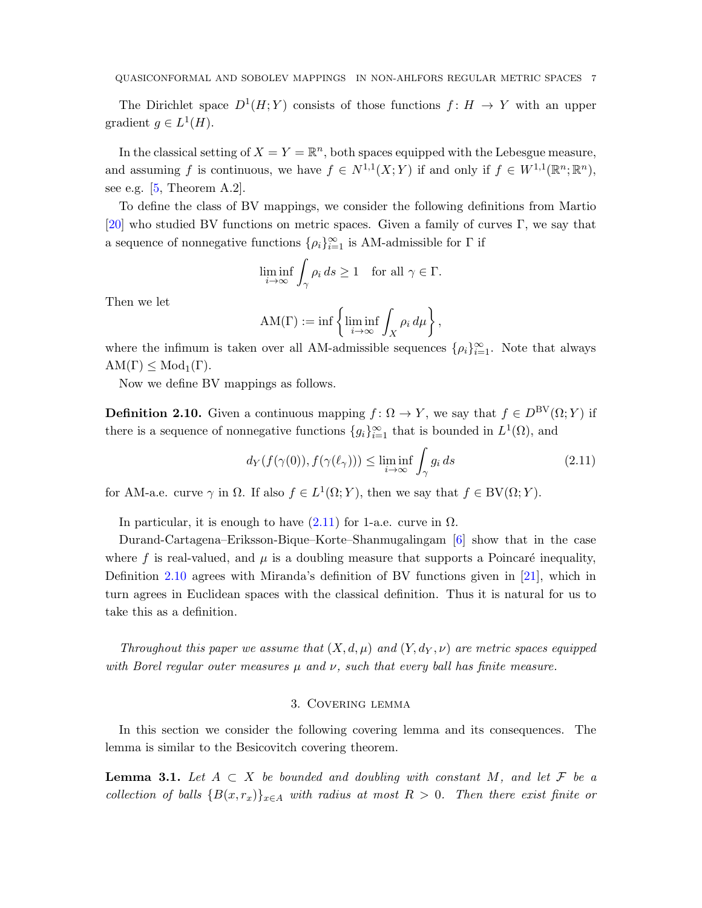<span id="page-6-4"></span>The Dirichlet space  $D^1(H;Y)$  consists of those functions  $f: H \to Y$  with an upper gradient  $g \in L^1(H)$ .

In the classical setting of  $X = Y = \mathbb{R}^n$ , both spaces equipped with the Lebesgue measure, and assuming f is continuous, we have  $f \in N^{1,1}(X;Y)$  if and only if  $f \in W^{1,1}(\mathbb{R}^n;\mathbb{R}^n)$ , see e.g.  $[5,$  Theorem A.2].

To define the class of BV mappings, we consider the following definitions from Martio [\[20\]](#page-26-5) who studied BV functions on metric spaces. Given a family of curves  $\Gamma$ , we say that a sequence of nonnegative functions  $\{\rho_i\}_{i=1}^{\infty}$  is AM-admissible for  $\Gamma$  if

$$
\liminf_{i \to \infty} \int_{\gamma} \rho_i \, ds \ge 1 \quad \text{for all } \gamma \in \Gamma.
$$

Then we let

$$
AM(\Gamma) := \inf \left\{ \liminf_{i \to \infty} \int_X \rho_i \, d\mu \right\},\,
$$

where the infimum is taken over all AM-admissible sequences  $\{\rho_i\}_{i=1}^{\infty}$ . Note that always  $AM(\Gamma) \leq Mod_{1}(\Gamma).$ 

Now we define BV mappings as follows.

<span id="page-6-2"></span>**Definition 2.10.** Given a continuous mapping  $f: \Omega \to Y$ , we say that  $f \in D^{\text{BV}}(\Omega; Y)$  if there is a sequence of nonnegative functions  ${g_i}_{i=1}^{\infty}$  that is bounded in  $L^1(\Omega)$ , and

<span id="page-6-1"></span>
$$
d_Y(f(\gamma(0)), f(\gamma(\ell_\gamma))) \le \liminf_{i \to \infty} \int_{\gamma} g_i ds \tag{2.11}
$$

for AM-a.e. curve  $\gamma$  in  $\Omega$ . If also  $f \in L^1(\Omega; Y)$ , then we say that  $f \in BV(\Omega; Y)$ .

In particular, it is enough to have  $(2.11)$  for 1-a.e. curve in  $\Omega$ .

Durand-Cartagena–Eriksson-Bique–Korte–Shanmugalingam [\[6\]](#page-25-12) show that in the case where f is real-valued, and  $\mu$  is a doubling measure that supports a Poincaré inequality, Definition [2.10](#page-6-2) agrees with Miranda's definition of BV functions given in [\[21\]](#page-26-6), which in turn agrees in Euclidean spaces with the classical definition. Thus it is natural for us to take this as a definition.

<span id="page-6-0"></span>Throughout this paper we assume that  $(X, d, \mu)$  and  $(Y, d_Y, \nu)$  are metric spaces equipped with Borel regular outer measures  $\mu$  and  $\nu$ , such that every ball has finite measure.

#### 3. Covering lemma

In this section we consider the following covering lemma and its consequences. The lemma is similar to the Besicovitch covering theorem.

<span id="page-6-3"></span>**Lemma 3.1.** Let  $A \subset X$  be bounded and doubling with constant M, and let F be a collection of balls  ${B(x,r_x)}_{x\in A}$  with radius at most  $R > 0$ . Then there exist finite or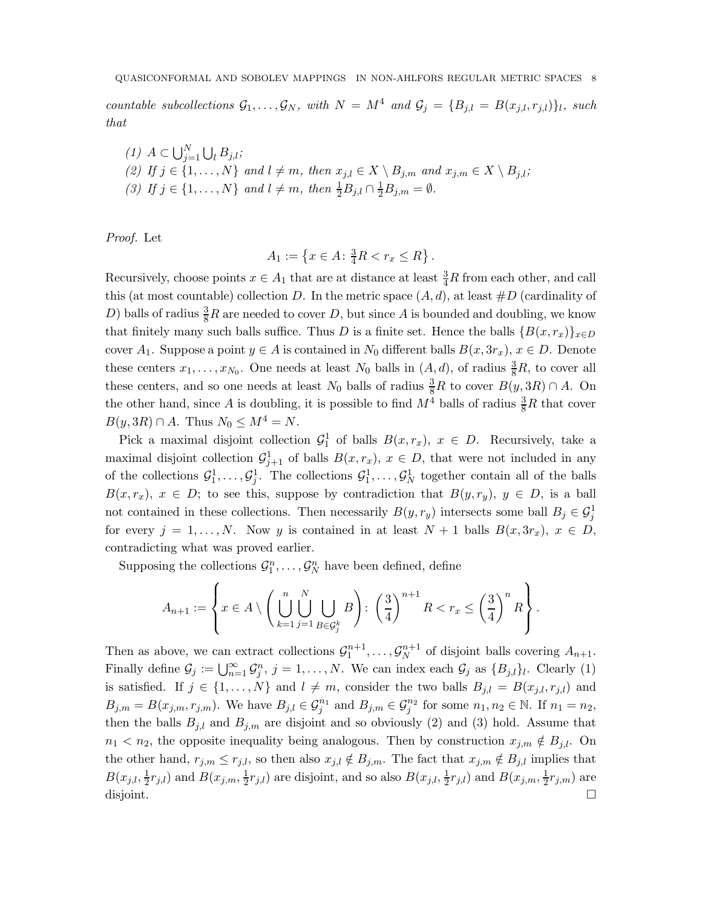countable subcollections  $\mathcal{G}_1, \ldots, \mathcal{G}_N$ , with  $N = M^4$  and  $\mathcal{G}_j = \{B_{j,l} = B(x_{j,l}, r_{j,l})\}_l$ , such that

\n- (1) 
$$
A \subset \bigcup_{j=1}^{N} \bigcup_{l} B_{j,l};
$$
\n- (2) If  $j \in \{1, \ldots, N\}$  and  $l \neq m$ , then  $x_{j,l} \in X \setminus B_{j,m}$  and  $x_{j,m} \in X \setminus B_{j,l};$
\n- (3) If  $j \in \{1, \ldots, N\}$  and  $l \neq m$ , then  $\frac{1}{2} B_{j,l} \cap \frac{1}{2} B_{j,m} = \emptyset$ .
\n

Proof. Let

$$
A_1 := \left\{ x \in A \colon \frac{3}{4}R < r_x \le R \right\}.
$$

Recursively, choose points  $x \in A_1$  that are at distance at least  $\frac{3}{4}R$  from each other, and call this (at most countable) collection D. In the metric space  $(A, d)$ , at least  $\#D$  (cardinality of D) balls of radius  $\frac{3}{8}R$  are needed to cover D, but since A is bounded and doubling, we know that finitely many such balls suffice. Thus D is a finite set. Hence the balls  ${B(x, r_x)}_{x \in D}$ cover  $A_1$ . Suppose a point  $y \in A$  is contained in  $N_0$  different balls  $B(x, 3r_x), x \in D$ . Denote these centers  $x_1, \ldots, x_{N_0}$ . One needs at least  $N_0$  balls in  $(A, d)$ , of radius  $\frac{3}{8}R$ , to cover all these centers, and so one needs at least  $N_0$  balls of radius  $\frac{3}{8}R$  to cover  $B(y, 3R) \cap A$ . On the other hand, since A is doubling, it is possible to find  $M^4$  balls of radius  $\frac{3}{8}R$  that cover  $B(y, 3R) \cap A$ . Thus  $N_0 \leq M^4 = N$ .

Pick a maximal disjoint collection  $\mathcal{G}_1^1$  of balls  $B(x, r_x)$ ,  $x \in D$ . Recursively, take a maximal disjoint collection  $\mathcal{G}^1_{j+1}$  of balls  $B(x, r_x)$ ,  $x \in D$ , that were not included in any of the collections  $\mathcal{G}_1^1, \ldots, \mathcal{G}_j^1$ . The collections  $\mathcal{G}_1^1, \ldots, \mathcal{G}_N^1$  together contain all of the balls  $B(x, r_x), x \in D$ ; to see this, suppose by contradiction that  $B(y, r_y), y \in D$ , is a ball not contained in these collections. Then necessarily  $B(y, r_y)$  intersects some ball  $B_j \in \mathcal{G}_j^1$ for every  $j = 1, ..., N$ . Now y is contained in at least  $N + 1$  balls  $B(x, 3r_x), x \in D$ , contradicting what was proved earlier.

Supposing the collections  $\mathcal{G}_1^n, \ldots, \mathcal{G}_N^n$  have been defined, define

$$
A_{n+1} := \left\{ x \in A \setminus \left( \bigcup_{k=1}^{n} \bigcup_{j=1}^{N} \bigcup_{B \in \mathcal{G}_j^k} B \right) : \left( \frac{3}{4} \right)^{n+1} R < r_x \le \left( \frac{3}{4} \right)^n R \right\}.
$$

Then as above, we can extract collections  $\mathcal{G}_1^{n+1}, \ldots, \mathcal{G}_N^{n+1}$  $N^{n+1}$  of disjoint balls covering  $A_{n+1}$ . Finally define  $\mathcal{G}_j := \bigcup_{n=1}^{\infty} \mathcal{G}_j^n$ ,  $j = 1, ..., N$ . We can index each  $\mathcal{G}_j$  as  $\{B_{j,l}\}_l$ . Clearly (1) is satisfied. If  $j \in \{1, ..., N\}$  and  $l \neq m$ , consider the two balls  $B_{j,l} = B(x_{j,l}, r_{j,l})$  and  $B_{j,m} = B(x_{j,m}, r_{j,m})$ . We have  $B_{j,l} \in \mathcal{G}_j^{n_1}$  and  $B_{j,m} \in \mathcal{G}_j^{n_2}$  for some  $n_1, n_2 \in \mathbb{N}$ . If  $n_1 = n_2$ , then the balls  $B_{j,l}$  and  $B_{j,m}$  are disjoint and so obviously (2) and (3) hold. Assume that  $n_1 < n_2$ , the opposite inequality being analogous. Then by construction  $x_{j,m} \notin B_{j,l}$ . On the other hand,  $r_{j,m} \leq r_{j,l}$ , so then also  $x_{j,l} \notin B_{j,m}$ . The fact that  $x_{j,m} \notin B_{j,l}$  implies that  $B(x_{j,l}, \frac{1}{2})$  $\frac{1}{2}r_{j,l}$ ) and  $B(x_{j,m}, \frac{1}{2})$  $\frac{1}{2}r_{j,l}$ ) are disjoint, and so also  $B(x_{j,l}, \frac{1}{2})$  $\frac{1}{2}r_{j,l}$ ) and  $B(x_{j,m}, \frac{1}{2})$  $\frac{1}{2}r_{j,m}$ ) are disjoint.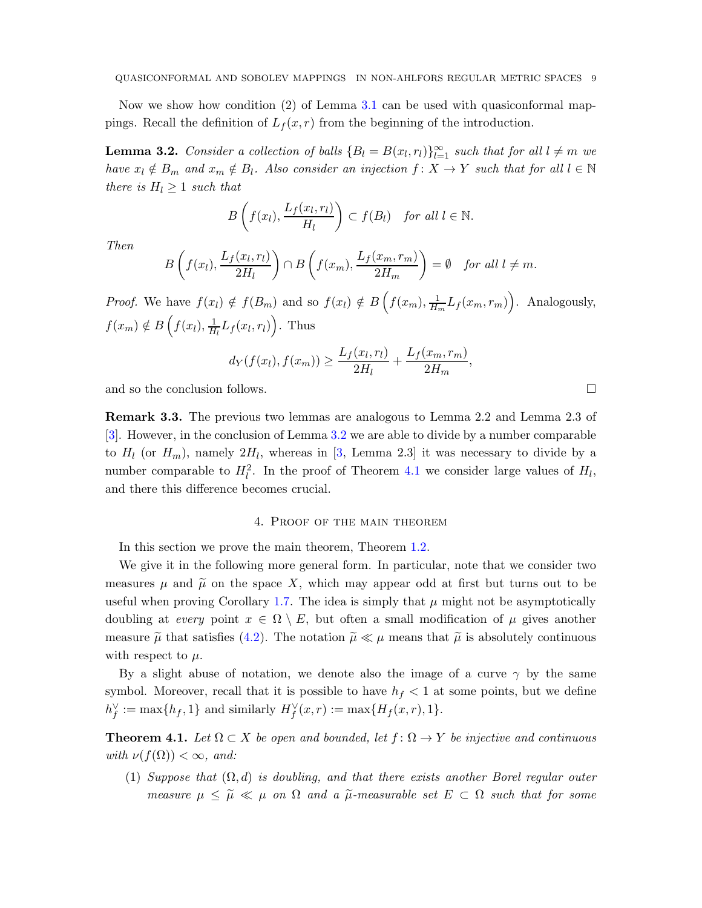<span id="page-8-3"></span>Now we show how condition (2) of Lemma [3.1](#page-6-3) can be used with quasiconformal mappings. Recall the definition of  $L_f(x, r)$  from the beginning of the introduction.

<span id="page-8-2"></span>**Lemma 3.2.** Consider a collection of balls  $\{B_l = B(x_l, r_l)\}_{l=1}^{\infty}$  such that for all  $l \neq m$  we have  $x_l \notin B_m$  and  $x_m \notin B_l$ . Also consider an injection  $f : X \to Y$  such that for all  $l \in \mathbb{N}$ there is  $H_l \geq 1$  such that

$$
B\left(f(x_l), \frac{L_f(x_l, r_l)}{H_l}\right) \subset f(B_l) \quad \text{for all } l \in \mathbb{N}.
$$

Then

$$
B\left(f(x_l), \frac{L_f(x_l, r_l)}{2H_l}\right) \cap B\left(f(x_m), \frac{L_f(x_m, r_m)}{2H_m}\right) = \emptyset \text{ for all } l \neq m.
$$

*Proof.* We have  $f(x_l) \notin f(B_m)$  and so  $f(x_l) \notin B\left(f(x_m), \frac{1}{H}\right)$  $\frac{1}{H_m} L_f(x_m, r_m)$ . Analogously,  $f(x_m) \notin B\left(f(x_l), \frac{1}{H}\right)$  $\frac{1}{H_l}L_f(x_l,r_l)\bigg$ . Thus

$$
d_Y(f(x_l), f(x_m)) \ge \frac{L_f(x_l, r_l)}{2H_l} + \frac{L_f(x_m, r_m)}{2H_m},
$$

and so the conclusion follows.

Remark 3.3. The previous two lemmas are analogous to Lemma 2.2 and Lemma 2.3 of [\[3\]](#page-25-3). However, in the conclusion of Lemma [3.2](#page-8-2) we are able to divide by a number comparable to  $H_l$  (or  $H_m$ ), namely  $2H_l$ , whereas in [\[3,](#page-25-3) Lemma 2.3] it was necessary to divide by a number comparable to  $H_l^2$ . In the proof of Theorem [4.1](#page-8-0) we consider large values of  $H_l$ , and there this difference becomes crucial.

## 4. Proof of the main theorem

<span id="page-8-1"></span>In this section we prove the main theorem, Theorem [1.2.](#page-1-1)

We give it in the following more general form. In particular, note that we consider two measures  $\mu$  and  $\tilde{\mu}$  on the space X, which may appear odd at first but turns out to be useful when proving Corollary [1.7.](#page-3-0) The idea is simply that  $\mu$  might not be asymptotically doubling at every point  $x \in \Omega \setminus E$ , but often a small modification of  $\mu$  gives another measure  $\tilde{\mu}$  that satisfies [\(4.2\)](#page-9-0). The notation  $\tilde{\mu} \ll \mu$  means that  $\tilde{\mu}$  is absolutely continuous with respect to  $\mu$ .

By a slight abuse of notation, we denote also the image of a curve  $\gamma$  by the same symbol. Moreover, recall that it is possible to have  $h_f < 1$  at some points, but we define  $h_f^{\vee} := \max\{h_f, 1\}$  and similarly  $H_f^{\vee}(x, r) := \max\{H_f(x, r), 1\}.$ 

<span id="page-8-0"></span>**Theorem 4.1.** Let  $\Omega \subset X$  be open and bounded, let  $f : \Omega \to Y$  be injective and continuous with  $\nu(f(\Omega)) < \infty$ , and:

(1) Suppose that  $(\Omega, d)$  is doubling, and that there exists another Borel regular outer measure  $\mu \leq \tilde{\mu} \ll \mu$  on  $\Omega$  and a  $\tilde{\mu}$ -measurable set  $E \subset \Omega$  such that for some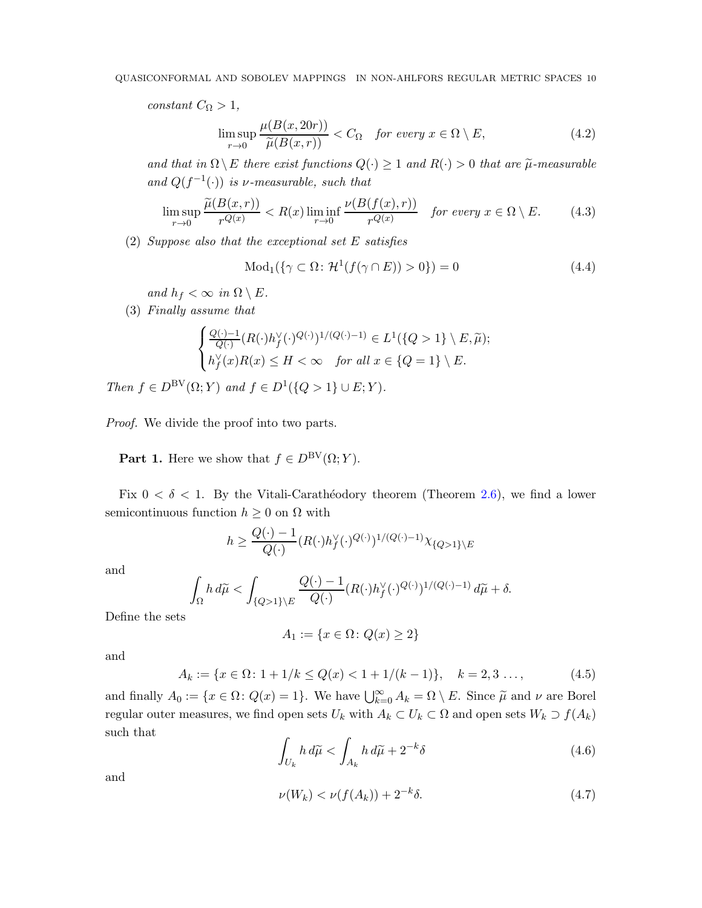constant  $C_{\Omega} > 1$ ,

<span id="page-9-0"></span>
$$
\limsup_{r \to 0} \frac{\mu(B(x, 20r))}{\widetilde{\mu}(B(x, r))} < C_{\Omega} \quad \text{for every } x \in \Omega \setminus E,\tag{4.2}
$$

and that in  $\Omega \setminus E$  there exist functions  $Q(\cdot) \geq 1$  and  $R(\cdot) > 0$  that are  $\tilde{\mu}$ -measurable and  $Q(f^{-1}(\cdot))$  is v-measurable, such that

<span id="page-9-1"></span>
$$
\limsup_{r \to 0} \frac{\tilde{\mu}(B(x,r))}{r^{Q(x)}} < R(x) \liminf_{r \to 0} \frac{\nu(B(f(x),r))}{r^{Q(x)}} \quad \text{for every } x \in \Omega \setminus E. \tag{4.3}
$$

(2) Suppose also that the exceptional set E satisfies

<span id="page-9-2"></span>
$$
Mod1(\{\gamma \subset \Omega : \mathcal{H}^1(f(\gamma \cap E)) > 0\}) = 0
$$
\n(4.4)

and  $h_f < \infty$  in  $\Omega \setminus E$ .

(3) Finally assume that

$$
\begin{cases} \frac{Q(\cdot)-1}{Q(\cdot)}(R(\cdot)h^\vee_f(\cdot)^{Q(\cdot)})^{1/(Q(\cdot)-1)}\in L^1(\{Q>1\}\setminus E,\widetilde{\mu});\\ h^\vee_f(x)R(x)\leq H<\infty \quad \textit{for all $x\in\{Q=1\}\setminus E$.}\end{cases}
$$

Then  $f \in D^{\text{BV}}(\Omega; Y)$  and  $f \in D^1({Q > 1} \cup E; Y)$ .

Proof. We divide the proof into two parts.

**Part 1.** Here we show that  $f \in D^{\text{BV}}(\Omega; Y)$ .

Fix  $0 < \delta < 1$ . By the Vitali-Carathéodory theorem (Theorem [2.6\)](#page-5-1), we find a lower semicontinuous function  $h \geq 0$  on  $\Omega$  with

$$
h \ge \frac{Q(\cdot)-1}{Q(\cdot)}(R(\cdot)h_f^{\vee}(\cdot)^{Q(\cdot)})^{1/(Q(\cdot)-1)}\chi_{\{Q>1\}\backslash E}
$$

and

$$
\int_{\Omega} h \, d\widetilde{\mu} < \int_{\{Q>1\}\backslash E} \frac{Q(\cdot) - 1}{Q(\cdot)} (R(\cdot) h_f^{\vee}(\cdot)^{Q(\cdot)})^{1/(Q(\cdot) - 1)} \, d\widetilde{\mu} + \delta.
$$

Define the sets

$$
A_1 := \{ x \in \Omega \colon Q(x) \ge 2 \}
$$

and

<span id="page-9-5"></span>
$$
A_k := \{ x \in \Omega \colon 1 + 1/k \le Q(x) < 1 + 1/(k - 1) \}, \quad k = 2, 3 \dots,\tag{4.5}
$$

and finally  $A_0 := \{x \in \Omega : Q(x) = 1\}$ . We have  $\bigcup_{k=0}^{\infty} A_k = \Omega \setminus E$ . Since  $\widetilde{\mu}$  and  $\nu$  are Borel regular outer measures, we find open sets  $U_k$  with  $A_k \subset U_k \subset \Omega$  and open sets  $W_k \supset f(A_k)$ such that

<span id="page-9-4"></span>
$$
\int_{U_k} h \, d\widetilde{\mu} < \int_{A_k} h \, d\widetilde{\mu} + 2^{-k} \delta \tag{4.6}
$$

and

<span id="page-9-3"></span>
$$
\nu(W_k) < \nu(f(A_k)) + 2^{-k}\delta. \tag{4.7}
$$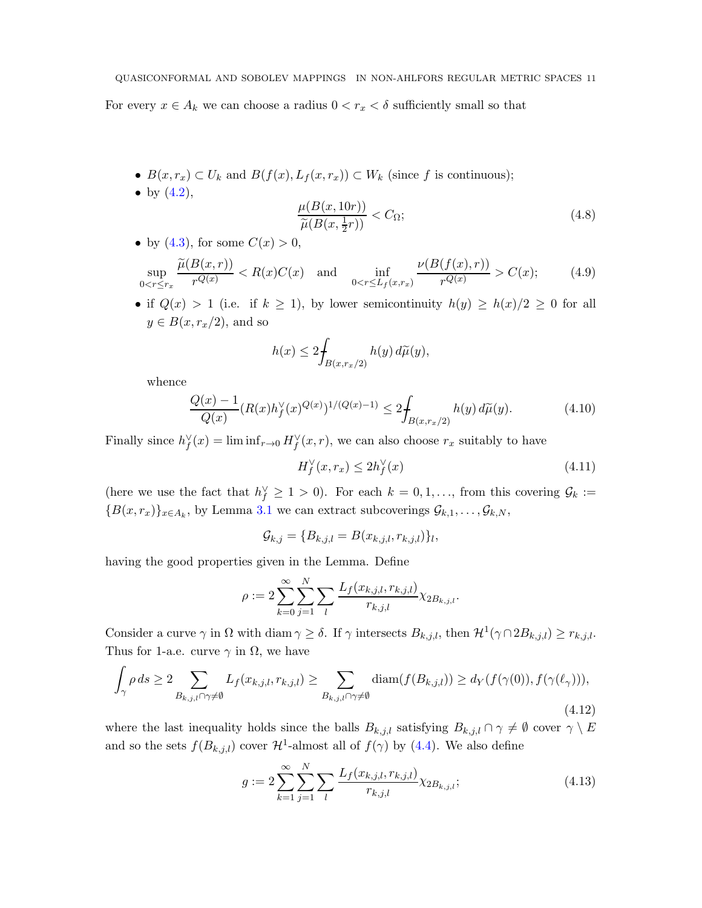For every  $x \in A_k$  we can choose a radius  $0 < r_x < \delta$  sufficiently small so that

- $B(x, r_x) \subset U_k$  and  $B(f(x), L_f(x, r_x)) \subset W_k$  (since f is continuous);
- by  $(4.2)$ ,  $\mu(B(x,10r))$  $\frac{\widetilde{\mu}(B(x, \frac{1}{2}r))}{\widetilde{\mu}(B(x, \frac{1}{2}r))} < C_{\Omega};$ (4.8)
- by [\(4.3\)](#page-9-1), for some  $C(x) > 0$ ,

<span id="page-10-0"></span>
$$
\sup_{0 < r \le r_x} \frac{\tilde{\mu}(B(x, r))}{r^{Q(x)}} < R(x)C(x) \quad \text{and} \quad \inf_{0 < r \le L_f(x, r_x)} \frac{\nu(B(f(x), r))}{r^{Q(x)}} > C(x); \tag{4.9}
$$

• if  $Q(x) > 1$  (i.e. if  $k \geq 1$ ), by lower semicontinuity  $h(y) \geq h(x)/2 \geq 0$  for all  $y \in B(x, r_x/2)$ , and so

<span id="page-10-1"></span>
$$
h(x) \le 2 \int_{B(x,r_x/2)} h(y) d\widetilde{\mu}(y),
$$

whence

<span id="page-10-3"></span>
$$
\frac{Q(x) - 1}{Q(x)} (R(x)h_f^{\vee}(x)^{Q(x)})^{1/(Q(x) - 1)} \le 2 \int_{B(x, r_x/2)} h(y) d\widetilde{\mu}(y). \tag{4.10}
$$

Finally since  $h_f^{\vee}(x) = \liminf_{r \to 0} H_f^{\vee}(x, r)$ , we can also choose  $r_x$  suitably to have

<span id="page-10-2"></span>
$$
H_f^{\vee}(x, r_x) \le 2h_f^{\vee}(x) \tag{4.11}
$$

(here we use the fact that  $h_f^{\vee} \geq 1 > 0$ ). For each  $k = 0, 1, \ldots$ , from this covering  $\mathcal{G}_k :=$  ${B(x,r_x)}_{x \in A_k}$ , by Lemma [3.1](#page-6-3) we can extract subcoverings  $\mathcal{G}_{k,1}, \ldots, \mathcal{G}_{k,N}$ ,

$$
\mathcal{G}_{k,j} = \{B_{k,j,l} = B(x_{k,j,l}, r_{k,j,l})\}_l,
$$

having the good properties given in the Lemma. Define

$$
\rho := 2 \sum_{k=0}^{\infty} \sum_{j=1}^{N} \sum_{l} \frac{L_f(x_{k,j,l}, r_{k,j,l})}{r_{k,j,l}} \chi_{2B_{k,j,l}}.
$$

Consider a curve  $\gamma$  in  $\Omega$  with diam  $\gamma \geq \delta$ . If  $\gamma$  intersects  $B_{k,j,l}$ , then  $\mathcal{H}^1(\gamma \cap 2B_{k,j,l}) \geq r_{k,j,l}$ . Thus for 1-a.e. curve  $\gamma$  in  $\Omega$ , we have

<span id="page-10-4"></span>
$$
\int_{\gamma} \rho ds \ge 2 \sum_{B_{k,j,l} \cap \gamma \ne \emptyset} L_f(x_{k,j,l}, r_{k,j,l}) \ge \sum_{B_{k,j,l} \cap \gamma \ne \emptyset} \text{diam}(f(B_{k,j,l})) \ge d_Y(f(\gamma(0)), f(\gamma(\ell_\gamma))),
$$
\n(4.12)

where the last inequality holds since the balls  $B_{k,j,l}$  satisfying  $B_{k,j,l} \cap \gamma \neq \emptyset$  cover  $\gamma \setminus E$ and so the sets  $f(B_{k,j,l})$  cover  $\mathcal{H}^1$ -almost all of  $f(\gamma)$  by [\(4.4\)](#page-9-2). We also define

<span id="page-10-5"></span>
$$
g := 2\sum_{k=1}^{\infty} \sum_{j=1}^{N} \sum_{l} \frac{L_f(x_{k,j,l}, r_{k,j,l})}{r_{k,j,l}} \chi_{2B_{k,j,l}};
$$
\n(4.13)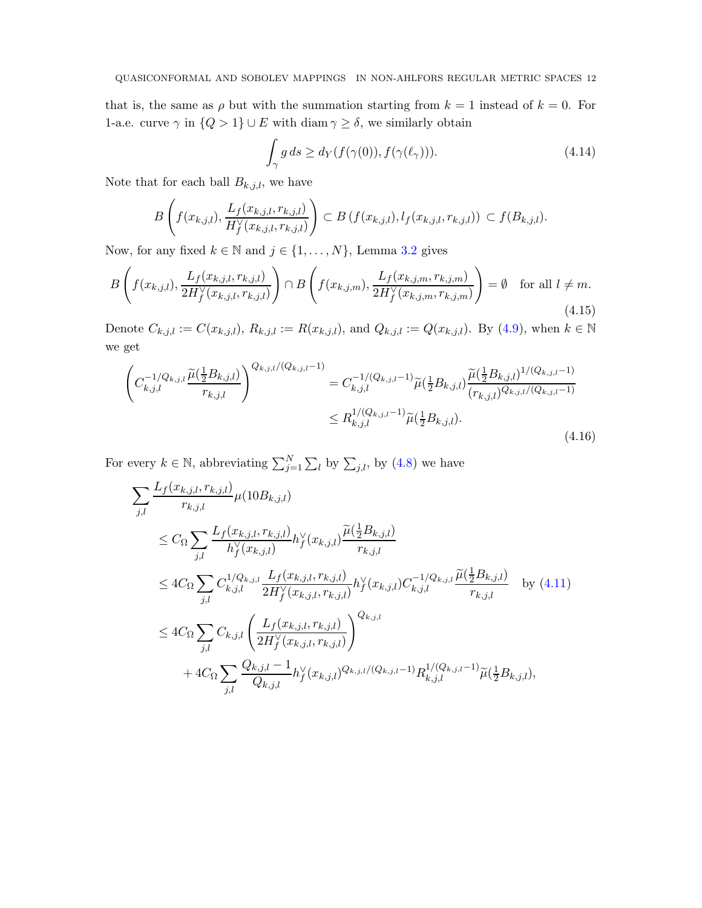that is, the same as  $\rho$  but with the summation starting from  $k = 1$  instead of  $k = 0$ . For 1-a.e. curve  $\gamma$  in  $\{Q > 1\} \cup E$  with  $\text{diam } \gamma \geq \delta$ , we similarly obtain

<span id="page-11-2"></span>
$$
\int_{\gamma} g ds \ge d_Y(f(\gamma(0)), f(\gamma(\ell_\gamma))). \tag{4.14}
$$

Note that for each ball  $B_{k,j,l}$ , we have

$$
B\left(f(x_{k,j,l}), \frac{L_f(x_{k,j,l}, r_{k,j,l})}{H_f^{\vee}(x_{k,j,l}, r_{k,j,l})}\right) \subset B\left(f(x_{k,j,l}), l_f(x_{k,j,l}, r_{k,j,l})\right) \subset f(B_{k,j,l}).
$$

Now, for any fixed  $k \in \mathbb{N}$  and  $j \in \{1, ..., N\}$ , Lemma [3.2](#page-8-2) gives

<span id="page-11-1"></span>
$$
B\left(f(x_{k,j,l}), \frac{L_f(x_{k,j,l}, r_{k,j,l})}{2H_f^{\vee}(x_{k,j,l}, r_{k,j,l})}\right) \cap B\left(f(x_{k,j,m}), \frac{L_f(x_{k,j,m}, r_{k,j,m})}{2H_f^{\vee}(x_{k,j,m}, r_{k,j,m})}\right) = \emptyset \text{ for all } l \neq m.
$$
\n(4.15)

Denote  $C_{k,j,l} := C(x_{k,j,l}), R_{k,j,l} := R(x_{k,j,l}),$  and  $Q_{k,j,l} := Q(x_{k,j,l}).$  By [\(4.9\)](#page-10-0), when  $k \in \mathbb{N}$ we get

<span id="page-11-0"></span>
$$
\left(C_{k,j,l}^{-1/Q_{k,j,l}}\frac{\widetilde{\mu}(\frac{1}{2}B_{k,j,l})}{r_{k,j,l}}\right)^{Q_{k,j,l}/(Q_{k,j,l}-1)} = C_{k,j,l}^{-1/(Q_{k,j,l}-1)}\widetilde{\mu}(\frac{1}{2}B_{k,j,l})\frac{\widetilde{\mu}(\frac{1}{2}B_{k,j,l})^{1/(Q_{k,j,l}-1)}}{(r_{k,j,l})^{Q_{k,j,l}/(Q_{k,j,l}-1)}} \\ \leq R_{k,j,l}^{1/(Q_{k,j,l}-1)}\widetilde{\mu}(\frac{1}{2}B_{k,j,l}).
$$
\n(4.16)

For every  $k \in \mathbb{N}$ , abbreviating  $\sum_{j=1}^{N} \sum_{l}$  by  $\sum_{j,l}$ , by  $(4.8)$  we have

$$
\sum_{j,l} \frac{L_f(x_{k,j,l}, r_{k,j,l})}{r_{k,j,l}} \mu(10B_{k,j,l})
$$
\n
$$
\leq C_{\Omega} \sum_{j,l} \frac{L_f(x_{k,j,l}, r_{k,j,l})}{h_f^{\vee}(x_{k,j,l})} h_f^{\vee}(x_{k,j,l}) \frac{\tilde{\mu}(\frac{1}{2}B_{k,j,l})}{r_{k,j,l}}
$$
\n
$$
\leq 4C_{\Omega} \sum_{j,l} C_{k,j,l}^{1/Q_{k,j,l}} \frac{L_f(x_{k,j,l}, r_{k,j,l})}{2H_f^{\vee}(x_{k,j,l}, r_{k,j,l})} h_f^{\vee}(x_{k,j,l}) C_{k,j,l}^{-1/Q_{k,j,l}} \frac{\tilde{\mu}(\frac{1}{2}B_{k,j,l})}{r_{k,j,l}} \quad \text{by (4.11)}
$$
\n
$$
\leq 4C_{\Omega} \sum_{j,l} C_{k,j,l} \left( \frac{L_f(x_{k,j,l}, r_{k,j,l})}{2H_f^{\vee}(x_{k,j,l}, r_{k,j,l})} \right)^{Q_{k,j,l}}
$$
\n
$$
+ 4C_{\Omega} \sum_{j,l} \frac{Q_{k,j,l} - 1}{Q_{k,j,l}} h_f^{\vee}(x_{k,j,l})^{Q_{k,j,l}/(Q_{k,j,l}-1)} R_{k,j,l}^{1/(Q_{k,j,l}-1)} \tilde{\mu}(\frac{1}{2}B_{k,j,l}),
$$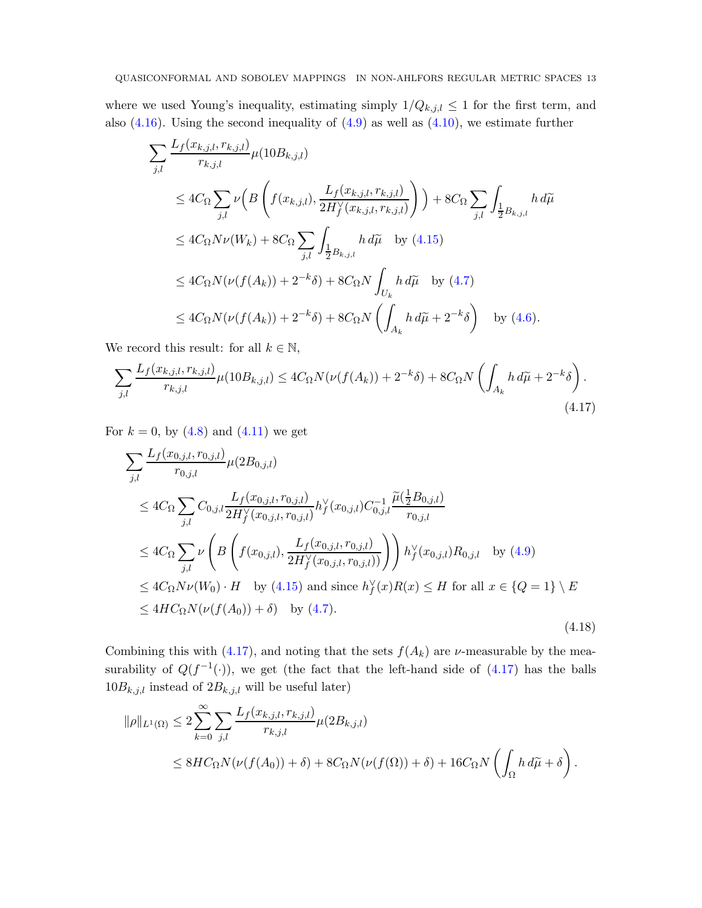where we used Young's inequality, estimating simply  $1/Q_{k,j,l} \leq 1$  for the first term, and also  $(4.16)$ . Using the second inequality of  $(4.9)$  as well as  $(4.10)$ , we estimate further

$$
\sum_{j,l} \frac{L_f(x_{k,j,l}, r_{k,j,l})}{r_{k,j,l}} \mu(10B_{k,j,l})
$$
\n
$$
\leq 4C_{\Omega} \sum_{j,l} \nu \left( B \left( f(x_{k,j,l}), \frac{L_f(x_{k,j,l}, r_{k,j,l})}{2H_f^V(x_{k,j,l}, r_{k,j,l})} \right) \right) + 8C_{\Omega} \sum_{j,l} \int_{\frac{1}{2}B_{k,j,l}} h \, d\tilde{\mu}
$$
\n
$$
\leq 4C_{\Omega} N \nu(W_k) + 8C_{\Omega} \sum_{j,l} \int_{\frac{1}{2}B_{k,j,l}} h \, d\tilde{\mu} \quad \text{by (4.15)}
$$
\n
$$
\leq 4C_{\Omega} N(\nu(f(A_k)) + 2^{-k}\delta) + 8C_{\Omega} N \int_{U_k} h \, d\tilde{\mu} \quad \text{by (4.7)}
$$
\n
$$
\leq 4C_{\Omega} N(\nu(f(A_k)) + 2^{-k}\delta) + 8C_{\Omega} N \left( \int_{A_k} h \, d\tilde{\mu} + 2^{-k}\delta \right) \quad \text{by (4.6)}.
$$

We record this result: for all  $k \in \mathbb{N}$ ,

<span id="page-12-0"></span>
$$
\sum_{j,l} \frac{L_f(x_{k,j,l}, r_{k,j,l})}{r_{k,j,l}} \mu(10B_{k,j,l}) \le 4C_{\Omega} N(\nu(f(A_k)) + 2^{-k}\delta) + 8C_{\Omega} N\left(\int_{A_k} h \, d\widetilde{\mu} + 2^{-k}\delta\right).
$$
\n(4.17)

For  $k = 0$ , by  $(4.8)$  and  $(4.11)$  we get

$$
\sum_{j,l} \frac{L_f(x_{0,j,l}, r_{0,j,l})}{r_{0,j,l}} \mu(2B_{0,j,l})
$$
\n
$$
\leq 4C_{\Omega} \sum_{j,l} C_{0,j,l} \frac{L_f(x_{0,j,l}, r_{0,j,l})}{2H_f^{\vee}(x_{0,j,l}, r_{0,j,l})} h_f^{\vee}(x_{0,j,l}) C_{0,j,l}^{-1} \frac{\tilde{\mu}(\frac{1}{2}B_{0,j,l})}{r_{0,j,l}}
$$
\n
$$
\leq 4C_{\Omega} \sum_{j,l} \nu \left( B \left( f(x_{0,j,l}), \frac{L_f(x_{0,j,l}, r_{0,j,l})}{2H_f^{\vee}(x_{0,j,l}, r_{0,j,l})} \right) \right) h_f^{\vee}(x_{0,j,l}) R_{0,j,l} \text{ by (4.9)}
$$
\n
$$
\leq 4C_{\Omega} N \nu(W_0) \cdot H \text{ by (4.15) and since } h_f^{\vee}(x) R(x) \leq H \text{ for all } x \in \{Q = 1\} \setminus E
$$
\n
$$
\leq 4H C_{\Omega} N(\nu(f(A_0)) + \delta) \text{ by (4.7)}.
$$
\n(4.18)

Combining this with [\(4.17\)](#page-12-0), and noting that the sets  $f(A_k)$  are  $\nu$ -measurable by the measurability of  $Q(f^{-1}(\cdot))$ , we get (the fact that the left-hand side of  $(4.17)$  has the balls  $10B_{k,j,l}$  instead of  $2B_{k,j,l}$  will be useful later)

$$
\|\rho\|_{L^1(\Omega)} \leq 2 \sum_{k=0}^{\infty} \sum_{j,l} \frac{L_f(x_{k,j,l}, r_{k,j,l})}{r_{k,j,l}} \mu(2B_{k,j,l})
$$
  

$$
\leq 8HC_{\Omega} N(\nu(f(A_0)) + \delta) + 8C_{\Omega} N(\nu(f(\Omega)) + \delta) + 16C_{\Omega} N\left(\int_{\Omega} h \, d\widetilde{\mu} + \delta\right).
$$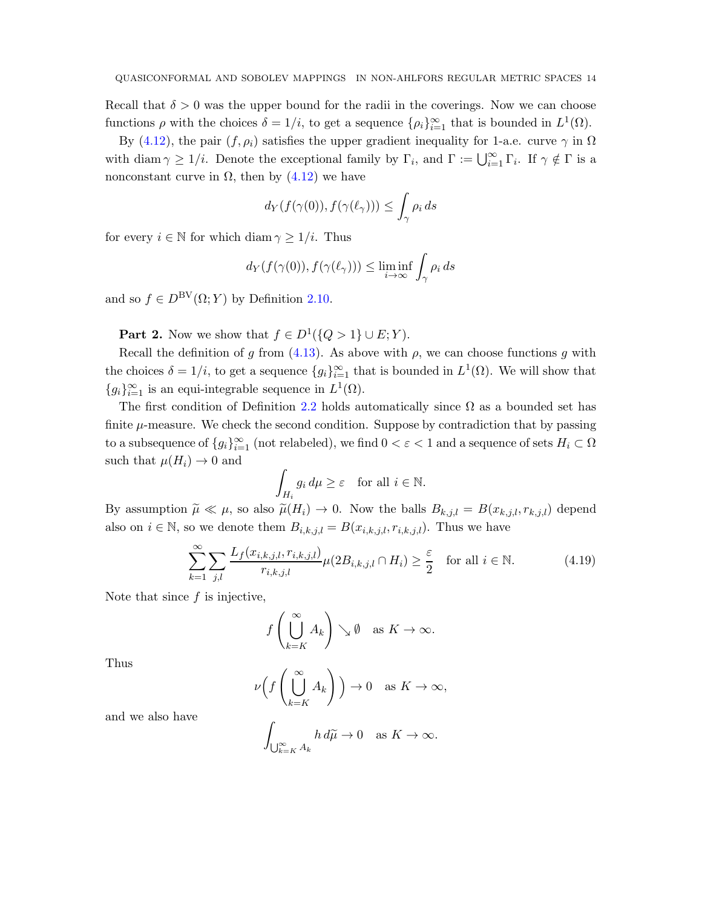Recall that  $\delta > 0$  was the upper bound for the radii in the coverings. Now we can choose functions  $\rho$  with the choices  $\delta = 1/i$ , to get a sequence  $\{\rho_i\}_{i=1}^{\infty}$  that is bounded in  $L^1(\Omega)$ .

By [\(4.12\)](#page-10-4), the pair  $(f, \rho_i)$  satisfies the upper gradient inequality for 1-a.e. curve  $\gamma$  in  $\Omega$ with diam  $\gamma \geq 1/i$ . Denote the exceptional family by  $\Gamma_i$ , and  $\Gamma := \bigcup_{i=1}^{\infty} \Gamma_i$ . If  $\gamma \notin \Gamma$  is a nonconstant curve in  $\Omega$ , then by  $(4.12)$  we have

$$
d_Y(f(\gamma(0)), f(\gamma(\ell_\gamma))) \le \int_{\gamma} \rho_i ds
$$

for every  $i \in \mathbb{N}$  for which diam  $\gamma \geq 1/i$ . Thus

$$
d_Y(f(\gamma(0)), f(\gamma(\ell_\gamma))) \le \liminf_{i \to \infty} \int_{\gamma} \rho_i ds
$$

and so  $f \in D^{\text{BV}}(\Omega; Y)$  by Definition [2.10.](#page-6-2)

**Part 2.** Now we show that  $f \in D^1({Q > 1} \cup E; Y)$ .

Recall the definition of g from  $(4.13)$ . As above with  $\rho$ , we can choose functions g with the choices  $\delta = 1/i$ , to get a sequence  $\{g_i\}_{i=1}^{\infty}$  that is bounded in  $L^1(\Omega)$ . We will show that  ${g_i}_{i=1}^{\infty}$  is an equi-integrable sequence in  $L^1(\Omega)$ .

The first condition of Definition [2.2](#page-5-2) holds automatically since  $\Omega$  as a bounded set has finite  $\mu$ -measure. We check the second condition. Suppose by contradiction that by passing to a subsequence of  $\{g_i\}_{i=1}^{\infty}$  (not relabeled), we find  $0 < \varepsilon < 1$  and a sequence of sets  $H_i \subset \Omega$ such that  $\mu(H_i) \to 0$  and

$$
\int_{H_i} g_i \, d\mu \ge \varepsilon \quad \text{for all } i \in \mathbb{N}.
$$

By assumption  $\tilde{\mu} \ll \mu$ , so also  $\tilde{\mu}(H_i) \to 0$ . Now the balls  $B_{k,j,l} = B(x_{k,j,l}, r_{k,j,l})$  depend also on  $i \in \mathbb{N}$ , so we denote them  $B_{i,k,j,l} = B(x_{i,k,j,l}, r_{i,k,j,l})$ . Thus we have

<span id="page-13-0"></span>
$$
\sum_{k=1}^{\infty} \sum_{j,l} \frac{L_f(x_{i,k,j,l}, r_{i,k,j,l})}{r_{i,k,j,l}} \mu(2B_{i,k,j,l} \cap H_i) \ge \frac{\varepsilon}{2} \quad \text{for all } i \in \mathbb{N}.
$$
 (4.19)

Note that since  $f$  is injective,

$$
f\left(\bigcup_{k=K}^{\infty} A_k\right) \searrow \emptyset \text{ as } K \to \infty.
$$

Thus

$$
\nu\Big(f\left(\bigcup_{k=K}^{\infty} A_k\right)\Big) \to 0 \quad \text{as } K \to \infty,
$$

and we also have

$$
\int_{\bigcup_{k=K}^{\infty} A_k} h \, d\widetilde{\mu} \to 0 \quad \text{as } K \to \infty.
$$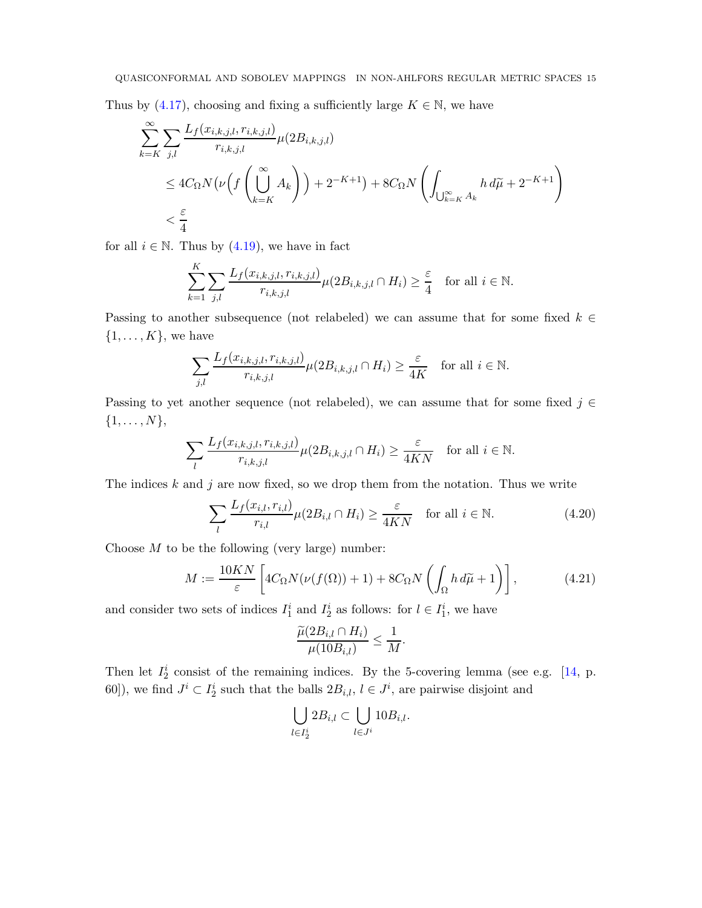<span id="page-14-2"></span>Thus by  $(4.17)$ , choosing and fixing a sufficiently large  $K \in \mathbb{N}$ , we have

$$
\sum_{k=K}^{\infty} \sum_{j,l} \frac{L_f(x_{i,k,j,l}, r_{i,k,j,l})}{r_{i,k,j,l}} \mu(2B_{i,k,j,l})
$$
\n
$$
\leq 4C_{\Omega} N \big(\nu \big(f\left(\bigcup_{k=K}^{\infty} A_k\right)\big) + 2^{-K+1}\big) + 8C_{\Omega} N \bigg(\int_{\bigcup_{k=K}^{\infty} A_k} h \, d\widetilde{\mu} + 2^{-K+1}\bigg)
$$
\n
$$
< \frac{\varepsilon}{4}
$$

for all  $i \in \mathbb{N}$ . Thus by  $(4.19)$ , we have in fact

 $\ddot{x}$ 

$$
\sum_{k=1}^K \sum_{j,l} \frac{L_f(x_{i,k,j,l}, r_{i,k,j,l})}{r_{i,k,j,l}} \mu(2B_{i,k,j,l} \cap H_i) \ge \frac{\varepsilon}{4} \quad \text{for all } i \in \mathbb{N}.
$$

Passing to another subsequence (not relabeled) we can assume that for some fixed  $k \in \mathbb{Z}$  $\{1, \ldots, K\}$ , we have

$$
\sum_{j,l} \frac{L_f(x_{i,k,j,l}, r_{i,k,j,l})}{r_{i,k,j,l}} \mu(2B_{i,k,j,l} \cap H_i) \ge \frac{\varepsilon}{4K} \quad \text{for all } i \in \mathbb{N}.
$$

Passing to yet another sequence (not relabeled), we can assume that for some fixed  $j \in \mathbb{Z}$  $\{1,\ldots,N\},\$ 

$$
\sum_{l} \frac{L_f(x_{i,k,j,l}, r_{i,k,j,l})}{r_{i,k,j,l}} \mu(2B_{i,k,j,l} \cap H_i) \ge \frac{\varepsilon}{4KN} \quad \text{for all } i \in \mathbb{N}.
$$

The indices  $k$  and  $j$  are now fixed, so we drop them from the notation. Thus we write

<span id="page-14-1"></span>
$$
\sum_{l} \frac{L_f(x_{i,l}, r_{i,l})}{r_{i,l}} \mu(2B_{i,l} \cap H_i) \ge \frac{\varepsilon}{4KN} \quad \text{for all } i \in \mathbb{N}.
$$
 (4.20)

Choose  $M$  to be the following (very large) number:

<span id="page-14-0"></span>
$$
M := \frac{10KN}{\varepsilon} \left[ 4C_{\Omega} N(\nu(f(\Omega)) + 1) + 8C_{\Omega} N \left( \int_{\Omega} h \, d\widetilde{\mu} + 1 \right) \right],\tag{4.21}
$$

and consider two sets of indices  $I_1^i$  and  $I_2^i$  as follows: for  $l \in I_1^i$ , we have

$$
\frac{\widetilde{\mu}(2B_{i,l}\cap H_i)}{\mu(10B_{i,l})}\leq \frac{1}{M}.
$$

Then let  $I_2^i$  consist of the remaining indices. By the 5-covering lemma (see e.g. [\[14,](#page-25-11) p. 60]), we find  $J^i \subset I_2^i$  such that the balls  $2B_{i,l}$ ,  $l \in J^i$ , are pairwise disjoint and

$$
\bigcup_{l\in I^i_2} 2B_{i,l}\subset \bigcup_{l\in J^i} 10B_{i,l}.
$$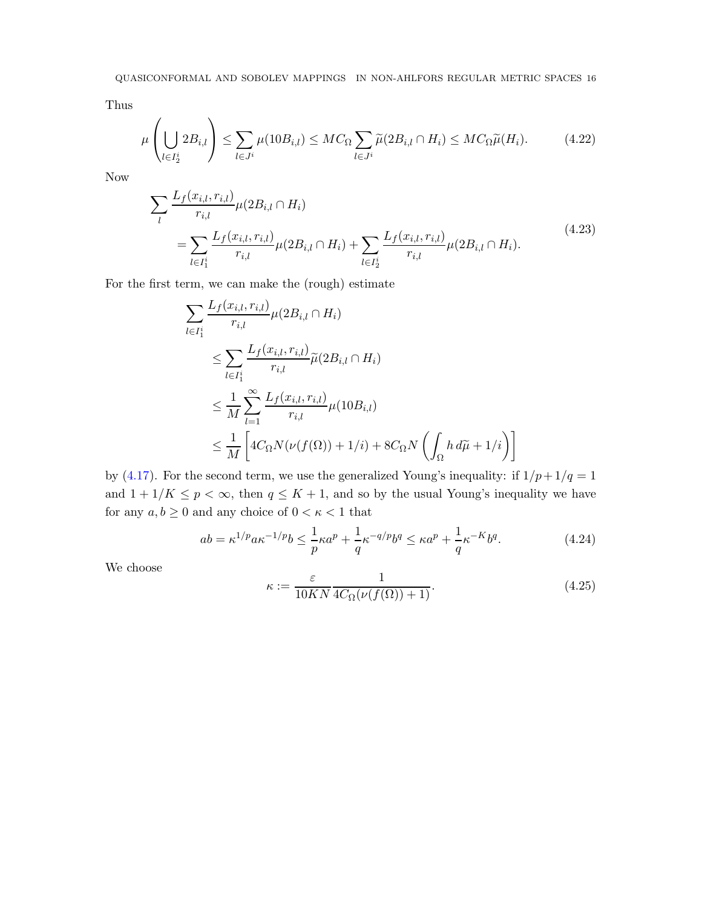Thus

<span id="page-15-3"></span>
$$
\mu\left(\bigcup_{l\in I_2^i} 2B_{i,l}\right) \le \sum_{l\in J^i} \mu(10B_{i,l}) \le MC_{\Omega} \sum_{l\in J^i} \widetilde{\mu}(2B_{i,l} \cap H_i) \le MC_{\Omega} \widetilde{\mu}(H_i). \tag{4.22}
$$

<span id="page-15-2"></span>Now

$$
\sum_{l} \frac{L_{f}(x_{i,l}, r_{i,l})}{r_{i,l}} \mu(2B_{i,l} \cap H_{i})
$$
\n
$$
= \sum_{l \in I_{1}^{i}} \frac{L_{f}(x_{i,l}, r_{i,l})}{r_{i,l}} \mu(2B_{i,l} \cap H_{i}) + \sum_{l \in I_{2}^{i}} \frac{L_{f}(x_{i,l}, r_{i,l})}{r_{i,l}} \mu(2B_{i,l} \cap H_{i}).
$$
\n
$$
(4.23)
$$

For the first term, we can make the (rough) estimate

$$
\sum_{l \in I_1^i} \frac{L_f(x_{i,l}, r_{i,l})}{r_{i,l}} \mu(2B_{i,l} \cap H_i)
$$
\n
$$
\leq \sum_{l \in I_1^i} \frac{L_f(x_{i,l}, r_{i,l})}{r_{i,l}} \widetilde{\mu}(2B_{i,l} \cap H_i)
$$
\n
$$
\leq \frac{1}{M} \sum_{l=1}^{\infty} \frac{L_f(x_{i,l}, r_{i,l})}{r_{i,l}} \mu(10B_{i,l})
$$
\n
$$
\leq \frac{1}{M} \left[ 4C_{\Omega} N(\nu(f(\Omega)) + 1/i) + 8C_{\Omega} N \left( \int_{\Omega} h \, d\widetilde{\mu} + 1/i \right) \right]
$$

by [\(4.17\)](#page-12-0). For the second term, we use the generalized Young's inequality: if  $1/p + 1/q = 1$ and  $1 + 1/K \le p < \infty$ , then  $q \le K + 1$ , and so by the usual Young's inequality we have for any  $a, b \geq 0$  and any choice of  $0 < \kappa < 1$  that

<span id="page-15-0"></span>
$$
ab = \kappa^{1/p} a \kappa^{-1/p} b \le \frac{1}{p} \kappa a^p + \frac{1}{q} \kappa^{-q/p} b^q \le \kappa a^p + \frac{1}{q} \kappa^{-K} b^q.
$$
 (4.24)

We choose

<span id="page-15-1"></span>
$$
\kappa := \frac{\varepsilon}{10KN} \frac{1}{4C_{\Omega}(\nu(f(\Omega)) + 1)}.\tag{4.25}
$$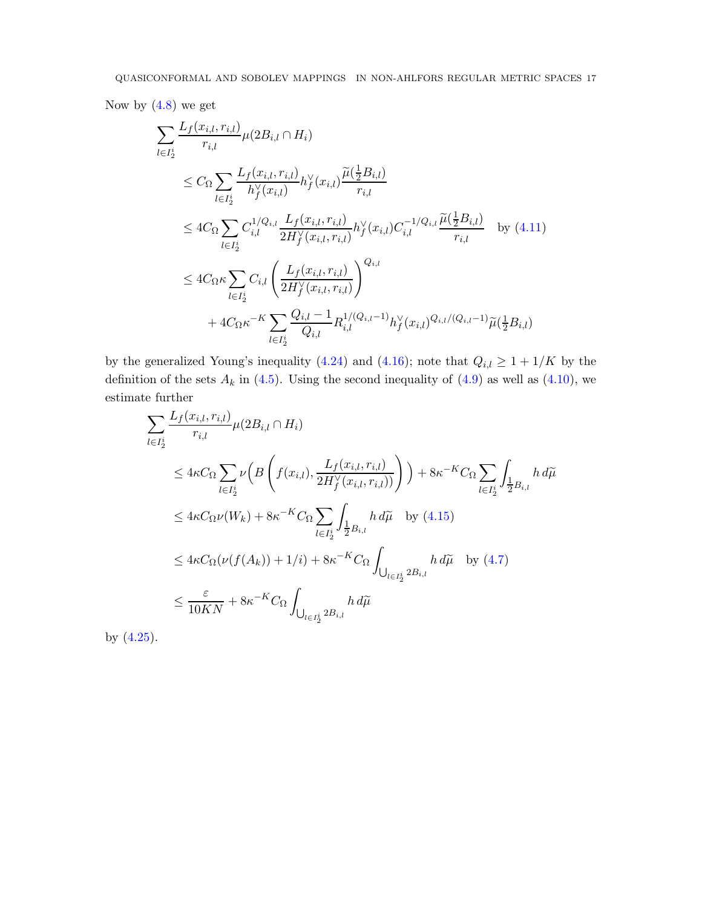Now by  $(4.8)$  we get

$$
\sum_{l \in I_{2}^{i}} \frac{L_{f}(x_{i,l}, r_{i,l})}{r_{i,l}} \mu(2B_{i,l} \cap H_{i})
$$
\n
$$
\leq C_{\Omega} \sum_{l \in I_{2}^{i}} \frac{L_{f}(x_{i,l}, r_{i,l})}{h_{f}^{\vee}(x_{i,l})} h_{f}^{\vee}(x_{i,l}) \frac{\tilde{\mu}(\frac{1}{2}B_{i,l})}{r_{i,l}}
$$
\n
$$
\leq 4C_{\Omega} \sum_{l \in I_{2}^{i}} C_{i,l}^{1/Q_{i,l}} \frac{L_{f}(x_{i,l}, r_{i,l})}{2H_{f}^{\vee}(x_{i,l}, r_{i,l})} h_{f}^{\vee}(x_{i,l}) C_{i,l}^{-1/Q_{i,l}} \frac{\tilde{\mu}(\frac{1}{2}B_{i,l})}{r_{i,l}} \quad \text{by (4.11)}
$$
\n
$$
\leq 4C_{\Omega} \kappa \sum_{l \in I_{2}^{i}} C_{i,l} \left( \frac{L_{f}(x_{i,l}, r_{i,l})}{2H_{f}^{\vee}(x_{i,l}, r_{i,l})} \right)^{Q_{i,l}}
$$
\n
$$
+ 4C_{\Omega} \kappa^{-K} \sum_{l \in I_{2}^{i}} \frac{Q_{i,l} - 1}{Q_{i,l}} R_{i,l}^{1/(Q_{i,l} - 1)} h_{f}^{\vee}(x_{i,l})^{Q_{i,l}/(Q_{i,l} - 1)} \tilde{\mu}(\frac{1}{2}B_{i,l})
$$

by the generalized Young's inequality [\(4.24\)](#page-15-0) and [\(4.16\)](#page-11-0); note that  $Q_{i,l} \geq 1 + 1/K$  by the definition of the sets  $A_k$  in [\(4.5\)](#page-9-5). Using the second inequality of [\(4.9\)](#page-10-0) as well as [\(4.10\)](#page-10-3), we estimate further

$$
\sum_{l \in I_2^i} \frac{L_f(x_{i,l}, r_{i,l})}{r_{i,l}} \mu(2B_{i,l} \cap H_i)
$$
\n
$$
\leq 4\kappa C_{\Omega} \sum_{l \in I_2^i} \nu \left( B\left(f(x_{i,l}), \frac{L_f(x_{i,l}, r_{i,l})}{2H_f^{\vee}(x_{i,l}, r_{i,l})}\right) \right) + 8\kappa^{-K} C_{\Omega} \sum_{l \in I_2^i} \int_{\frac{1}{2}B_{i,l}} h \, d\widetilde{\mu}
$$
\n
$$
\leq 4\kappa C_{\Omega} \nu(W_k) + 8\kappa^{-K} C_{\Omega} \sum_{l \in I_2^i} \int_{\frac{1}{2}B_{i,l}} h \, d\widetilde{\mu} \quad \text{by (4.15)}
$$
\n
$$
\leq 4\kappa C_{\Omega} (\nu(f(A_k)) + 1/i) + 8\kappa^{-K} C_{\Omega} \int_{\bigcup_{l \in I_2^i} 2B_{i,l}} h \, d\widetilde{\mu} \quad \text{by (4.7)}
$$
\n
$$
\leq \frac{\varepsilon}{10KN} + 8\kappa^{-K} C_{\Omega} \int_{\bigcup_{l \in I_2^i} 2B_{i,l}} h \, d\widetilde{\mu}
$$

by [\(4.25\)](#page-15-1).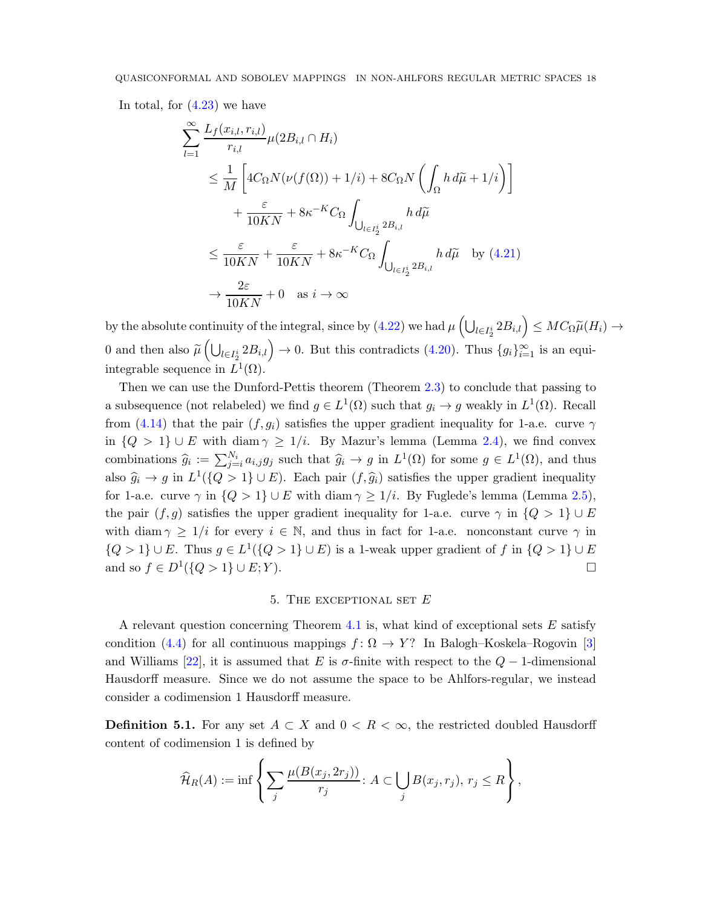<span id="page-17-2"></span>In total, for [\(4.23\)](#page-15-2) we have

$$
\sum_{l=1}^{\infty} \frac{L_f(x_{i,l}, r_{i,l})}{r_{i,l}} \mu(2B_{i,l} \cap H_i)
$$
\n
$$
\leq \frac{1}{M} \left[ 4C_{\Omega} N(\nu(f(\Omega)) + 1/i) + 8C_{\Omega} N \left( \int_{\Omega} h \, d\tilde{\mu} + 1/i \right) \right]
$$
\n
$$
+ \frac{\varepsilon}{10KN} + 8\kappa^{-K} C_{\Omega} \int_{\bigcup_{l \in I_2^i} 2B_{i,l}} h \, d\tilde{\mu}
$$
\n
$$
\leq \frac{\varepsilon}{10KN} + \frac{\varepsilon}{10KN} + 8\kappa^{-K} C_{\Omega} \int_{\bigcup_{l \in I_2^i} 2B_{i,l}} h \, d\tilde{\mu} \quad \text{by (4.21)}
$$
\n
$$
\to \frac{2\varepsilon}{10KN} + 0 \quad \text{as } i \to \infty
$$

by the absolute continuity of the integral, since by  $(4.22)$  we had  $\mu\left(\bigcup_{l\in I_2^i} 2B_{i,l}\right) \leq MC_{\Omega}\widetilde{\mu}(H_i) \to$ 0 and then also  $\widetilde{\mu}\left(\bigcup_{l\in I_2^i} 2B_{i,l}\right) \to 0$ . But this contradicts  $(4.20)$ . Thus  $\{g_i\}_{i=1}^{\infty}$  is an equiintegrable sequence in  $L^1(\Omega)$ .

Then we can use the Dunford-Pettis theorem (Theorem [2.3\)](#page-5-3) to conclude that passing to a subsequence (not relabeled) we find  $g \in L^1(\Omega)$  such that  $g_i \to g$  weakly in  $L^1(\Omega)$ . Recall from [\(4.14\)](#page-11-2) that the pair  $(f, g_i)$  satisfies the upper gradient inequality for 1-a.e. curve  $\gamma$ in  ${Q > 1} \cup E$  with diam  $\gamma \ge 1/i$ . By Mazur's lemma (Lemma [2.4\)](#page-5-4), we find convex combinations  $\hat{g}_i := \sum_{j=i}^{N_i} a_{i,j} g_j$  such that  $\hat{g}_i \to g$  in  $L^1(\Omega)$  for some  $g \in L^1(\Omega)$ , and thus also  $\hat{g}_i \to g$  in  $L^1(\{Q > 1\} \cup E)$ . Each pair  $(f, \hat{g}_i)$  satisfies the upper gradient inequality for 1-a.e. curve  $\gamma$  in  $\{Q > 1\} \cup E$  with diam  $\gamma \geq 1/i$ . By Fuglede's lemma (Lemma [2.5\)](#page-5-5), the pair  $(f, g)$  satisfies the upper gradient inequality for 1-a.e. curve  $\gamma$  in  $\{Q > 1\} \cup E$ with diam  $\gamma \geq 1/i$  for every  $i \in \mathbb{N}$ , and thus in fact for 1-a.e. nonconstant curve  $\gamma$  in  $\{Q > 1\} \cup E$ . Thus  $g \in L^1(\{Q > 1\} \cup E)$  is a 1-weak upper gradient of f in  $\{Q > 1\} \cup E$ and so  $f \in D^1({Q > 1} \cup E; Y)$ .

# 5. THE EXCEPTIONAL SET  $E$

<span id="page-17-0"></span>A relevant question concerning Theorem [4.1](#page-8-0) is, what kind of exceptional sets  $E$  satisfy condition [\(4.4\)](#page-9-2) for all continuous mappings  $f: \Omega \to Y$ ? In Balogh–Koskela–Rogovin [\[3\]](#page-25-3) and Williams [\[22\]](#page-26-4), it is assumed that E is  $\sigma$ -finite with respect to the  $Q-1$ -dimensional Hausdorff measure. Since we do not assume the space to be Ahlfors-regular, we instead consider a codimension 1 Hausdorff measure.

<span id="page-17-1"></span>**Definition 5.1.** For any set  $A \subset X$  and  $0 \subset R \subset \infty$ , the restricted doubled Hausdorff content of codimension 1 is defined by

$$
\widehat{H}_R(A) := \inf \left\{ \sum_j \frac{\mu(B(x_j, 2r_j))}{r_j} \colon A \subset \bigcup_j B(x_j, r_j), r_j \le R \right\},\,
$$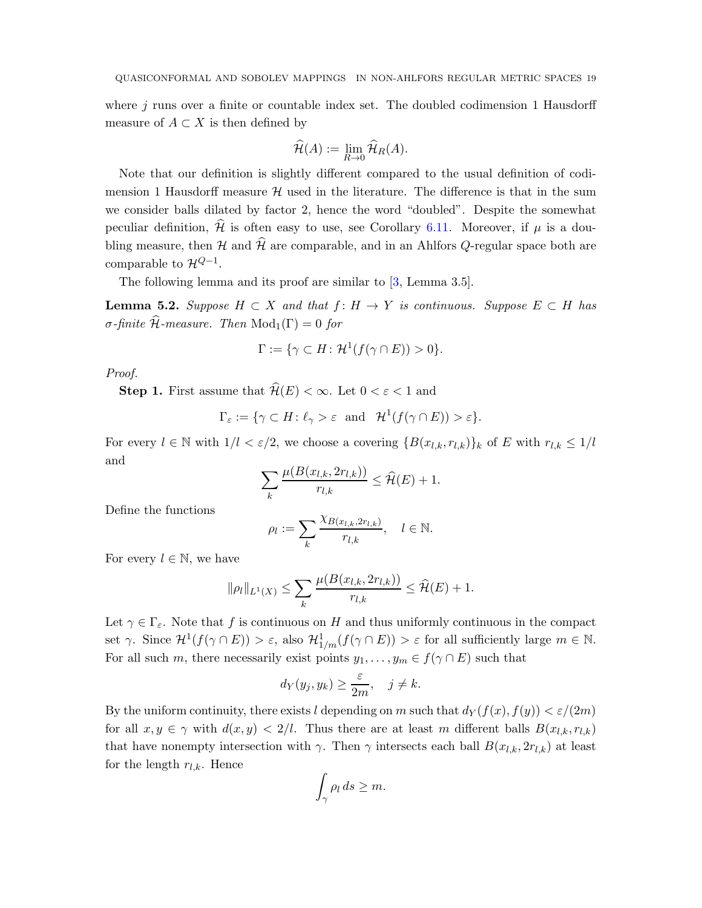<span id="page-18-1"></span>where  $j$  runs over a finite or countable index set. The doubled codimension 1 Hausdorff measure of  $A \subset X$  is then defined by

$$
\widehat{\mathcal{H}}(A) := \lim_{R \to 0} \widehat{\mathcal{H}}_R(A).
$$

Note that our definition is slightly different compared to the usual definition of codimension 1 Hausdorff measure  $H$  used in the literature. The difference is that in the sum we consider balls dilated by factor 2, hence the word "doubled". Despite the somewhat peculiar definition,  $\hat{\mathcal{H}}$  is often easy to use, see Corollary [6.11.](#page-24-0) Moreover, if  $\mu$  is a doubling measure, then H and  $\hat{\mathcal{H}}$  are comparable, and in an Ahlfors Q-regular space both are comparable to  $\mathcal{H}^{Q-1}$ .

The following lemma and its proof are similar to [\[3,](#page-25-3) Lemma 3.5].

<span id="page-18-0"></span>**Lemma 5.2.** Suppose  $H \subset X$  and that  $f : H \to Y$  is continuous. Suppose  $E \subset H$  has σ-finite  $\widehat{H}$ -measure. Then Mod<sub>1</sub>(Γ) = 0 for

$$
\Gamma := \{ \gamma \subset H \colon \mathcal{H}^1(f(\gamma \cap E)) > 0 \}.
$$

Proof.

**Step 1.** First assume that  $\widehat{\mathcal{H}}(E) < \infty$ . Let  $0 < \varepsilon < 1$  and

$$
\Gamma_{\varepsilon} := \{ \gamma \subset H \colon \ell_{\gamma} > \varepsilon \text{ and } \mathcal{H}^1(f(\gamma \cap E)) > \varepsilon \}.
$$

For every  $l \in \mathbb{N}$  with  $1/l < \varepsilon/2$ , we choose a covering  $\{B(x_{l,k}, r_{l,k})\}_k$  of E with  $r_{l,k} \leq 1/l$ and

$$
\sum_{k} \frac{\mu(B(x_{l,k}, 2r_{l,k}))}{r_{l,k}} \leq \widehat{\mathcal{H}}(E) + 1.
$$

Define the functions

$$
\rho_l:=\sum_k \frac{\chi_{B(x_{l,k}, 2r_{l,k})}}{r_{l,k}}, \quad l\in \mathbb{N}.
$$

For every  $l \in \mathbb{N}$ , we have

$$
\|\rho_l\|_{L^1(X)} \leq \sum_k \frac{\mu(B(x_{l,k}, 2r_{l,k}))}{r_{l,k}} \leq \widehat{\mathcal{H}}(E) + 1.
$$

Let  $\gamma \in \Gamma_{\varepsilon}$ . Note that f is continuous on H and thus uniformly continuous in the compact set  $\gamma$ . Since  $\mathcal{H}^1(f(\gamma \cap E)) > \varepsilon$ , also  $\mathcal{H}^1_{1/m}(f(\gamma \cap E)) > \varepsilon$  for all sufficiently large  $m \in \mathbb{N}$ . For all such m, there necessarily exist points  $y_1, \ldots, y_m \in f(\gamma \cap E)$  such that

$$
d_Y(y_j, y_k) \ge \frac{\varepsilon}{2m}, \quad j \ne k.
$$

By the uniform continuity, there exists l depending on m such that  $d_Y(f(x), f(y)) < \varepsilon/(2m)$ for all  $x, y \in \gamma$  with  $d(x, y) < 2/l$ . Thus there are at least m different balls  $B(x_{l,k}, r_{l,k})$ that have nonempty intersection with  $\gamma$ . Then  $\gamma$  intersects each ball  $B(x_{l,k}, 2r_{l,k})$  at least for the length  $r_{l,k}$ . Hence

$$
\int_{\gamma} \rho_l ds \ge m.
$$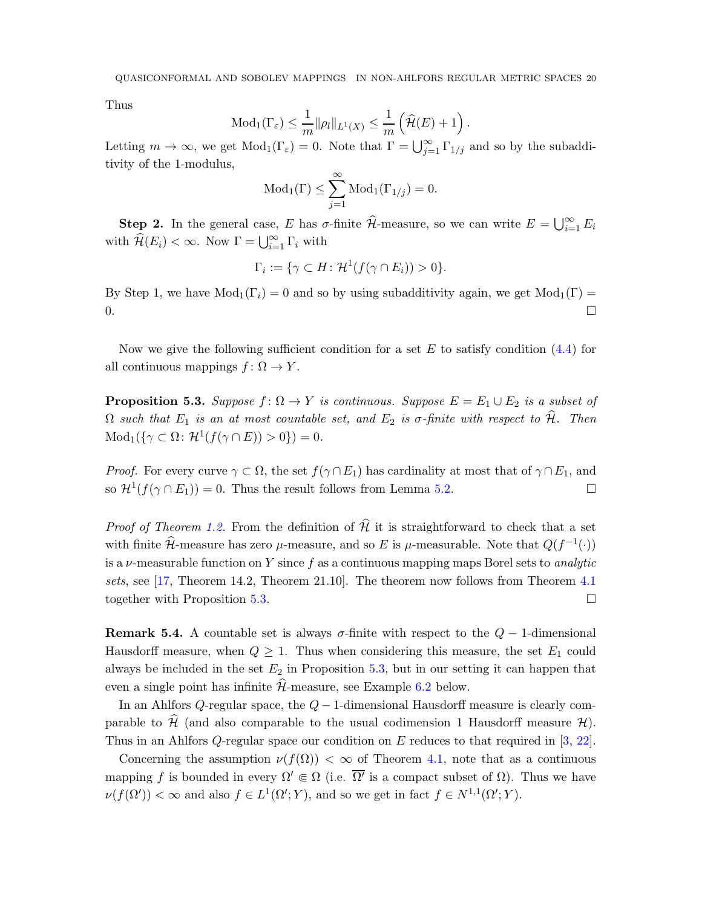<span id="page-19-1"></span>Thus

$$
\text{Mod}_1(\Gamma_{\varepsilon}) \leq \frac{1}{m} \|\rho_l\|_{L^1(X)} \leq \frac{1}{m} \left(\widehat{\mathcal{H}}(E) + 1\right).
$$

Letting  $m \to \infty$ , we get  $Mod_1(\Gamma_{\varepsilon}) = 0$ . Note that  $\Gamma = \bigcup_{j=1}^{\infty} \Gamma_{1/j}$  and so by the subadditivity of the 1-modulus,

$$
\mathrm{Mod}_1(\Gamma) \leq \sum_{j=1}^{\infty} \mathrm{Mod}_1(\Gamma_{1/j}) = 0.
$$

**Step 2.** In the general case, E has  $\sigma$ -finite  $\widehat{\mathcal{H}}$ -measure, so we can write  $E = \bigcup_{i=1}^{\infty} E_i$ with  $\widehat{\mathcal{H}}(E_i) < \infty$ . Now  $\Gamma = \bigcup_{i=1}^{\infty} \Gamma_i$  with

$$
\Gamma_i := \{ \gamma \subset H : \mathcal{H}^1(f(\gamma \cap E_i)) > 0 \}.
$$

By Step 1, we have  $Mod_1(\Gamma_i) = 0$  and so by using subadditivity again, we get  $Mod_1(\Gamma) =$  $0.$ 

Now we give the following sufficient condition for a set  $E$  to satisfy condition  $(4.4)$  for all continuous mappings  $f: \Omega \to Y$ .

<span id="page-19-0"></span>**Proposition 5.3.** Suppose  $f: \Omega \to Y$  is continuous. Suppose  $E = E_1 \cup E_2$  is a subset of  $\Omega$  such that  $E_1$  is an at most countable set, and  $E_2$  is  $\sigma$ -finite with respect to  $\widehat{\mathcal{H}}$ . Then  $\text{Mod}_1(\{\gamma \subset \Omega \colon \mathcal{H}^1(f(\gamma \cap E)) > 0\}) = 0.$ 

*Proof.* For every curve  $\gamma \subset \Omega$ , the set  $f(\gamma \cap E_1)$  has cardinality at most that of  $\gamma \cap E_1$ , and so  $\mathcal{H}^1(f(\gamma \cap E_1)) = 0$ . Thus the result follows from Lemma [5.2.](#page-18-0)

*Proof of Theorem [1.2.](#page-1-1)* From the definition of  $\hat{\mathcal{H}}$  it is straightforward to check that a set with finite  $\hat{\mathcal{H}}$ -measure has zero  $\mu$ -measure, and so E is  $\mu$ -measurable. Note that  $Q(f^{-1}(\cdot))$ is a  $\nu$ -measurable function on Y since f as a continuous mapping maps Borel sets to *analytic* sets, see [\[17,](#page-26-7) Theorem 14.2, Theorem 21.10]. The theorem now follows from Theorem [4.1](#page-8-0) together with Proposition [5.3.](#page-19-0)

**Remark 5.4.** A countable set is always  $\sigma$ -finite with respect to the  $Q - 1$ -dimensional Hausdorff measure, when  $Q \geq 1$ . Thus when considering this measure, the set  $E_1$  could always be included in the set  $E_2$  in Proposition [5.3,](#page-19-0) but in our setting it can happen that even a single point has infinite  $\hat{\mathcal{H}}$ -measure, see Example [6.2](#page-20-1) below.

In an Ahlfors Q-regular space, the  $Q-1$ -dimensional Hausdorff measure is clearly comparable to  $\hat{\mathcal{H}}$  (and also comparable to the usual codimension 1 Hausdorff measure  $\mathcal{H}$ ). Thus in an Ahlfors Q-regular space our condition on E reduces to that required in [\[3,](#page-25-3) [22\]](#page-26-4).

Concerning the assumption  $\nu(f(\Omega)) < \infty$  of Theorem [4.1,](#page-8-0) note that as a continuous mapping f is bounded in every  $\Omega' \in \Omega$  (i.e.  $\overline{\Omega'}$  is a compact subset of  $\Omega$ ). Thus we have  $\nu(f(\Omega')) < \infty$  and also  $f \in L^1(\Omega'; Y)$ , and so we get in fact  $f \in N^{1,1}(\Omega'; Y)$ .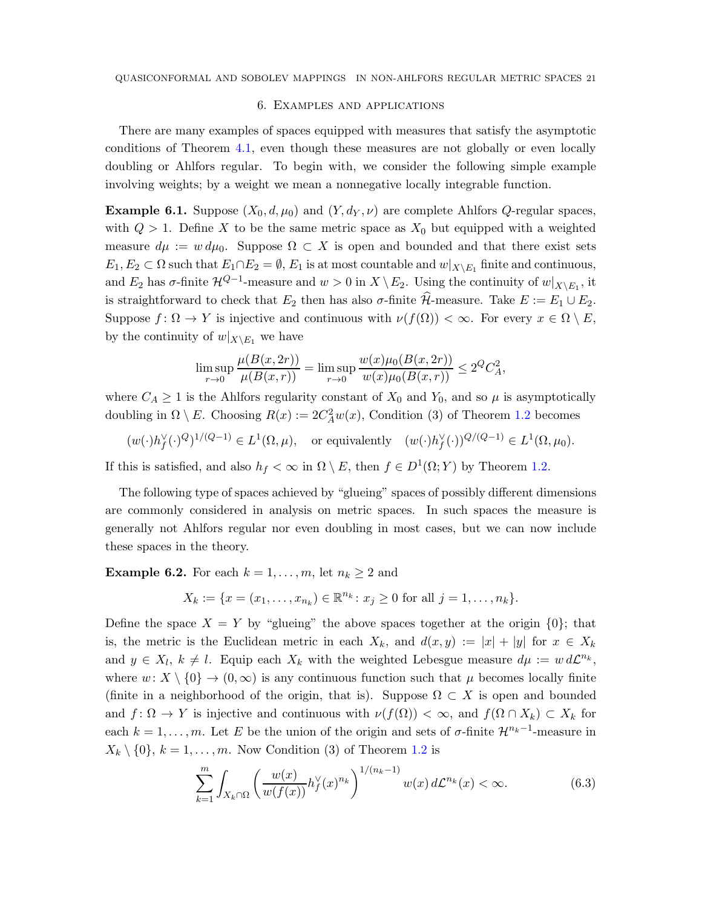# 6. Examples and applications

<span id="page-20-2"></span>There are many examples of spaces equipped with measures that satisfy the asymptotic conditions of Theorem [4.1,](#page-8-0) even though these measures are not globally or even locally doubling or Ahlfors regular. To begin with, we consider the following simple example involving weights; by a weight we mean a nonnegative locally integrable function.

<span id="page-20-0"></span>**Example 6.1.** Suppose  $(X_0, d, \mu_0)$  and  $(Y, d_Y, \nu)$  are complete Ahlfors Q-regular spaces, with  $Q > 1$ . Define X to be the same metric space as  $X_0$  but equipped with a weighted measure  $d\mu := w d\mu_0$ . Suppose  $\Omega \subset X$  is open and bounded and that there exist sets  $E_1, E_2 \subset \Omega$  such that  $E_1 \cap E_2 = \emptyset$ ,  $E_1$  is at most countable and  $w|_{X \setminus E_1}$  finite and continuous, and  $E_2$  has  $\sigma$ -finite  $\mathcal{H}^{Q-1}$ -measure and  $w > 0$  in  $X \setminus E_2$ . Using the continuity of  $w|_{X \setminus E_1}$ , it is straightforward to check that  $E_2$  then has also  $\sigma$ -finite  $\widehat{\mathcal{H}}$ -measure. Take  $E := E_1 \cup E_2$ . Suppose  $f: \Omega \to Y$  is injective and continuous with  $\nu(f(\Omega)) < \infty$ . For every  $x \in \Omega \setminus E$ , by the continuity of  $w|_{X\setminus E_1}$  we have

$$
\limsup_{r \to 0} \frac{\mu(B(x, 2r))}{\mu(B(x, r))} = \limsup_{r \to 0} \frac{w(x)\mu_0(B(x, 2r))}{w(x)\mu_0(B(x, r))} \le 2^Q C_A^2,
$$

where  $C_A \geq 1$  is the Ahlfors regularity constant of  $X_0$  and  $Y_0$ , and so  $\mu$  is asymptotically doubling in  $\Omega \setminus E$ . Choosing  $R(x) := 2C_A^2 w(x)$ , Condition (3) of Theorem [1.2](#page-1-1) becomes

$$
(w(\cdot)h_f^{\vee}(\cdot)^{Q})^{1/(Q-1)} \in L^1(\Omega,\mu)
$$
, or equivalently  $(w(\cdot)h_f^{\vee}(\cdot))^{Q/(Q-1)} \in L^1(\Omega,\mu_0)$ .

If this is satisfied, and also  $h_f < \infty$  in  $\Omega \setminus E$ , then  $f \in D^1(\Omega; Y)$  by Theorem [1.2.](#page-1-1)

The following type of spaces achieved by "glueing" spaces of possibly different dimensions are commonly considered in analysis on metric spaces. In such spaces the measure is generally not Ahlfors regular nor even doubling in most cases, but we can now include these spaces in the theory.

<span id="page-20-1"></span>**Example 6.2.** For each  $k = 1, \ldots, m$ , let  $n_k \geq 2$  and

$$
X_k := \{x = (x_1, \ldots, x_{n_k}) \in \mathbb{R}^{n_k} : x_j \ge 0 \text{ for all } j = 1, \ldots, n_k\}.
$$

Define the space  $X = Y$  by "glueing" the above spaces together at the origin  $\{0\}$ ; that is, the metric is the Euclidean metric in each  $X_k$ , and  $d(x,y) := |x| + |y|$  for  $x \in X_k$ and  $y \in X_l$ ,  $k \neq l$ . Equip each  $X_k$  with the weighted Lebesgue measure  $d\mu := w d\mathcal{L}^{n_k}$ , where  $w: X \setminus \{0\} \to (0, \infty)$  is any continuous function such that  $\mu$  becomes locally finite (finite in a neighborhood of the origin, that is). Suppose  $\Omega \subset X$  is open and bounded and  $f: \Omega \to Y$  is injective and continuous with  $\nu(f(\Omega)) < \infty$ , and  $f(\Omega \cap X_k) \subset X_k$  for each  $k = 1, \ldots, m$ . Let E be the union of the origin and sets of  $\sigma$ -finite  $\mathcal{H}^{n_k-1}$ -measure in  $X_k \setminus \{0\}, k = 1, \ldots, m$ . Now Condition (3) of Theorem [1.2](#page-1-1) is

<span id="page-20-3"></span>
$$
\sum_{k=1}^{m} \int_{X_k \cap \Omega} \left( \frac{w(x)}{w(f(x))} h_f^{\vee}(x)^{n_k} \right)^{1/(n_k - 1)} w(x) d\mathcal{L}^{n_k}(x) < \infty. \tag{6.3}
$$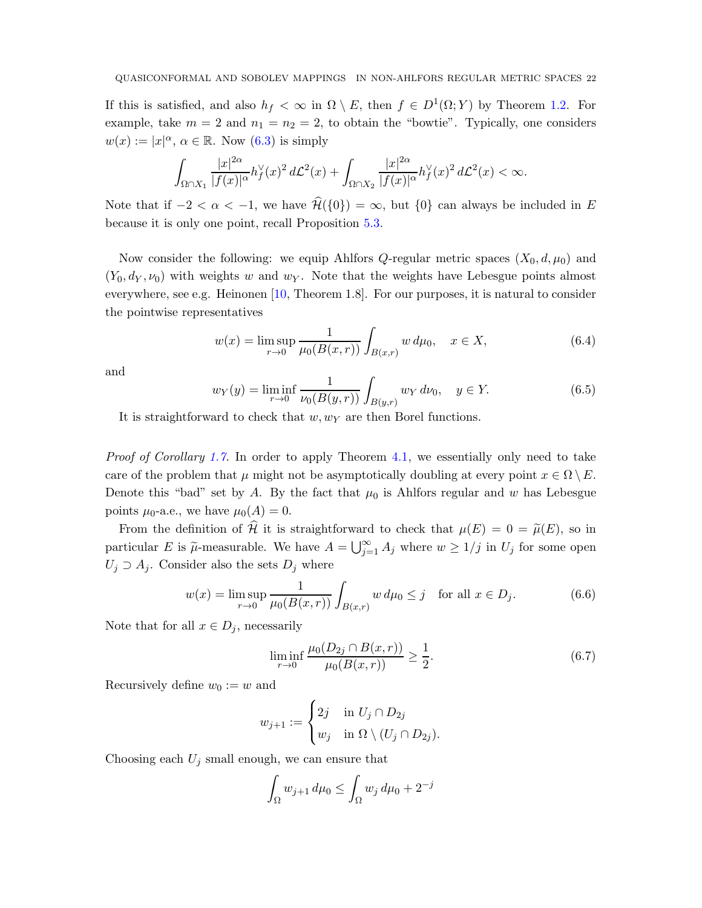<span id="page-21-4"></span>If this is satisfied, and also  $h_f < \infty$  in  $\Omega \setminus E$ , then  $f \in D^1(\Omega; Y)$  by Theorem [1.2.](#page-1-1) For example, take  $m = 2$  and  $n_1 = n_2 = 2$ , to obtain the "bowtie". Typically, one considers  $w(x) := |x|^{\alpha}, \, \alpha \in \mathbb{R}$ . Now  $(6.3)$  is simply

$$
\int_{\Omega\cap X_1}\frac{|x|^{2\alpha}}{|f(x)|^{\alpha}}h_f^{\vee}(x)^2\,d\mathcal{L}^2(x)+\int_{\Omega\cap X_2}\frac{|x|^{2\alpha}}{|f(x)|^{\alpha}}h_f^{\vee}(x)^2\,d\mathcal{L}^2(x)<\infty.
$$

Note that if  $-2 < \alpha < -1$ , we have  $\widehat{\mathcal{H}}(\{0\}) = \infty$ , but  $\{0\}$  can always be included in E because it is only one point, recall Proposition [5.3.](#page-19-0)

Now consider the following: we equip Ahlfors  $Q$ -regular metric spaces  $(X_0, d, \mu_0)$  and  $(Y_0, d_Y, \nu_0)$  with weights w and wy. Note that the weights have Lebesgue points almost everywhere, see e.g. Heinonen [\[10,](#page-25-13) Theorem 1.8]. For our purposes, it is natural to consider the pointwise representatives

<span id="page-21-0"></span>
$$
w(x) = \limsup_{r \to 0} \frac{1}{\mu_0(B(x, r))} \int_{B(x, r)} w \, d\mu_0, \quad x \in X,
$$
\n(6.4)

and

<span id="page-21-1"></span>
$$
w_Y(y) = \liminf_{r \to 0} \frac{1}{\nu_0(B(y, r))} \int_{B(y, r)} w_Y \, d\nu_0, \quad y \in Y. \tag{6.5}
$$

It is straightforward to check that  $w, w<sub>Y</sub>$  are then Borel functions.

Proof of Corollary [1.7.](#page-3-0) In order to apply Theorem [4.1,](#page-8-0) we essentially only need to take care of the problem that  $\mu$  might not be asymptotically doubling at every point  $x \in \Omega \setminus E$ . Denote this "bad" set by A. By the fact that  $\mu_0$  is Ahlfors regular and w has Lebesgue points  $\mu_0$ -a.e., we have  $\mu_0(A) = 0$ .

From the definition of  $\hat{\mathcal{H}}$  it is straightforward to check that  $\mu(E) = 0 = \tilde{\mu}(E)$ , so in particular E is  $\tilde{\mu}$ -measurable. We have  $A = \bigcup_{j=1}^{\infty} A_j$  where  $w \ge 1/j$  in  $U_j$  for some open  $U_j \supset A_j$ . Consider also the sets  $D_j$  where

<span id="page-21-3"></span>
$$
w(x) = \limsup_{r \to 0} \frac{1}{\mu_0(B(x, r))} \int_{B(x, r)} w \, d\mu_0 \le j \quad \text{for all } x \in D_j.
$$
 (6.6)

Note that for all  $x \in D_i$ , necessarily

<span id="page-21-2"></span>
$$
\liminf_{r \to 0} \frac{\mu_0(D_{2j} \cap B(x, r))}{\mu_0(B(x, r))} \ge \frac{1}{2}.
$$
\n(6.7)

Recursively define  $w_0 := w$  and

$$
w_{j+1} := \begin{cases} 2j & \text{in } U_j \cap D_{2j} \\ w_j & \text{in } \Omega \setminus (U_j \cap D_{2j}). \end{cases}
$$

Choosing each  $U_j$  small enough, we can ensure that

$$
\int_{\Omega} w_{j+1} d\mu_0 \le \int_{\Omega} w_j d\mu_0 + 2^{-j}
$$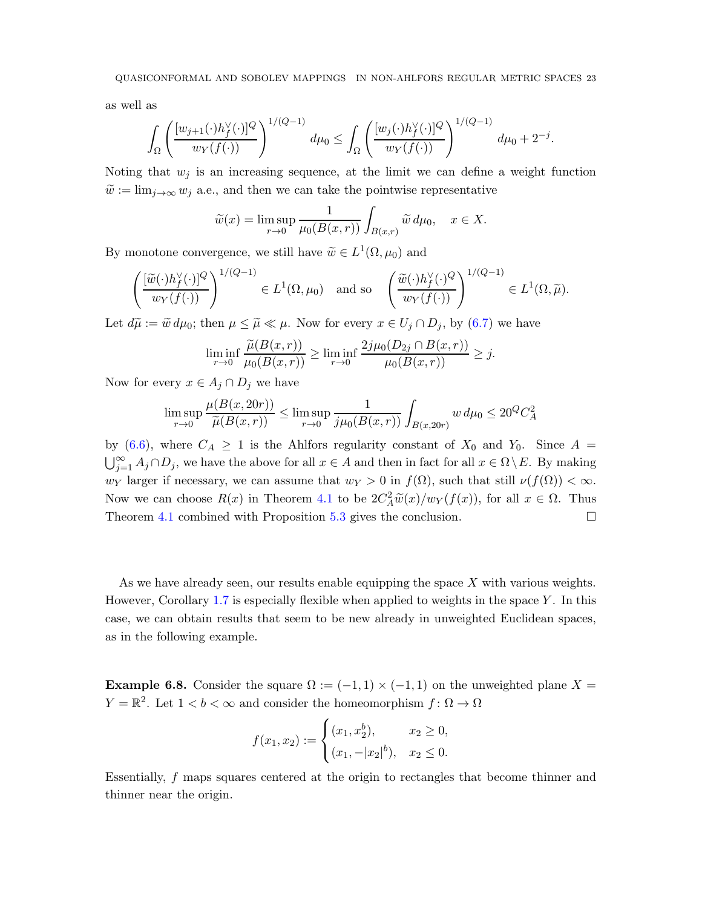as well as

$$
\int_{\Omega} \left( \frac{[w_{j+1}(\cdot)h'_f(\cdot)]^Q}{w_Y(f(\cdot))} \right)^{1/(Q-1)} d\mu_0 \le \int_{\Omega} \left( \frac{[w_j(\cdot)h'_f(\cdot)]^Q}{w_Y(f(\cdot))} \right)^{1/(Q-1)} d\mu_0 + 2^{-j}.
$$

Noting that  $w_j$  is an increasing sequence, at the limit we can define a weight function  $\tilde{w} := \lim_{j \to \infty} w_j$  a.e., and then we can take the pointwise representative

$$
\widetilde{w}(x) = \limsup_{r \to 0} \frac{1}{\mu_0(B(x,r))} \int_{B(x,r)} \widetilde{w} \, d\mu_0, \quad x \in X.
$$

By monotone convergence, we still have  $\widetilde{w} \in L^1(\Omega, \mu_0)$  and

$$
\left(\frac{[\widetilde{w}(\cdot)h_f^{\vee}(\cdot)]^Q}{w_Y(f(\cdot))}\right)^{1/(Q-1)} \in L^1(\Omega, \mu_0) \text{ and so } \left(\frac{\widetilde{w}(\cdot)h_f^{\vee}(\cdot)^Q}{w_Y(f(\cdot))}\right)^{1/(Q-1)} \in L^1(\Omega, \widetilde{\mu}).
$$

Let  $d\widetilde{\mu} := \widetilde{w} d\mu_0$ ; then  $\mu \leq \widetilde{\mu} \ll \mu$ . Now for every  $x \in U_j \cap D_j$ , by  $(6.7)$  we have

$$
\liminf_{r \to 0} \frac{\widetilde{\mu}(B(x,r))}{\mu_0(B(x,r))} \ge \liminf_{r \to 0} \frac{2j\mu_0(D_{2j} \cap B(x,r))}{\mu_0(B(x,r))} \ge j.
$$

Now for every  $x \in A_j \cap D_j$  we have

$$
\limsup_{r \to 0} \frac{\mu(B(x, 20r))}{\widetilde{\mu}(B(x, r))} \le \limsup_{r \to 0} \frac{1}{j\mu_0(B(x, r))} \int_{B(x, 20r)} w \, d\mu_0 \le 20^Q C_A^2
$$

by [\(6.6\)](#page-21-3), where  $C_A \geq 1$  is the Ahlfors regularity constant of  $X_0$  and  $Y_0$ . Since  $A =$  $\bigcup_{j=1}^{\infty} A_j \cap D_j$ , we have the above for all  $x \in A$  and then in fact for all  $x \in \Omega \setminus E$ . By making w<sub>Y</sub> larger if necessary, we can assume that  $w_Y > 0$  in  $f(\Omega)$ , such that still  $\nu(f(\Omega)) < \infty$ . Now we can choose  $R(x)$  in Theorem [4.1](#page-8-0) to be  $2C_A^2 \tilde{w}(x)/w_Y(f(x))$ , for all  $x \in \Omega$ . Thus Theorem [4.1](#page-8-0) combined with Proposition [5.3](#page-19-0) gives the conclusion.

As we have already seen, our results enable equipping the space  $X$  with various weights. However, Corollary [1.7](#page-3-0) is especially flexible when applied to weights in the space  $Y$ . In this case, we can obtain results that seem to be new already in unweighted Euclidean spaces, as in the following example.

<span id="page-22-0"></span>**Example 6.8.** Consider the square  $\Omega := (-1,1) \times (-1,1)$  on the unweighted plane X =  $Y = \mathbb{R}^2$ . Let  $1 < b < \infty$  and consider the homeomorphism  $f: \Omega \to \Omega$ 

$$
f(x_1, x_2) := \begin{cases} (x_1, x_2^b), & x_2 \ge 0, \\ (x_1, -|x_2|^b), & x_2 \le 0. \end{cases}
$$

Essentially, f maps squares centered at the origin to rectangles that become thinner and thinner near the origin.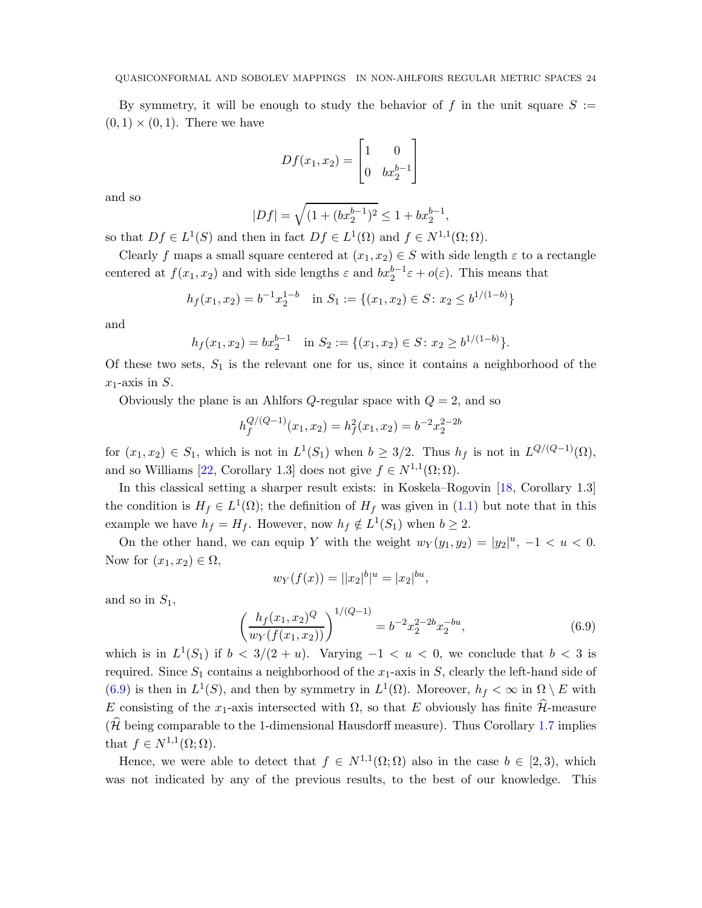#### <span id="page-23-1"></span>QUASICONFORMAL AND SOBOLEV MAPPINGS IN NON-AHLFORS REGULAR METRIC SPACES 24

By symmetry, it will be enough to study the behavior of f in the unit square  $S :=$  $(0, 1) \times (0, 1)$ . There we have

$$
Df(x_1, x_2) = \begin{bmatrix} 1 & 0 \\ 0 & bx_2^{b-1} \end{bmatrix}
$$

and so

$$
|Df| = \sqrt{(1 + (bx_2^{b-1})^2)} \le 1 + bx_2^{b-1},
$$

so that  $Df \in L^1(S)$  and then in fact  $Df \in L^1(\Omega)$  and  $f \in N^{1,1}(\Omega;\Omega)$ .

Clearly f maps a small square centered at  $(x_1, x_2) \in S$  with side length  $\varepsilon$  to a rectangle centered at  $f(x_1, x_2)$  and with side lengths  $\varepsilon$  and  $bx_2^{b-1}\varepsilon + o(\varepsilon)$ . This means that

$$
h_f(x_1, x_2) = b^{-1} x_2^{1-b}
$$
 in  $S_1 := \{(x_1, x_2) \in S : x_2 \le b^{1/(1-b)}\}$ 

and

$$
h_f(x_1, x_2) = bx_2^{b-1}
$$
 in  $S_2 := \{(x_1, x_2) \in S : x_2 \ge b^{1/(1-b)}\}.$ 

Of these two sets,  $S_1$  is the relevant one for us, since it contains a neighborhood of the  $x_1$ -axis in S.

Obviously the plane is an Ahlfors Q-regular space with  $Q = 2$ , and so

$$
h_f^{Q/(Q-1)}(x_1, x_2) = h_f^2(x_1, x_2) = b^{-2} x_2^{2-2b}
$$

for  $(x_1, x_2) \in S_1$ , which is not in  $L^1(S_1)$  when  $b \geq 3/2$ . Thus  $h_f$  is not in  $L^{Q/(Q-1)}(\Omega)$ , and so Williams [\[22,](#page-26-4) Corollary 1.3] does not give  $f \in N^{1,1}(\Omega; \Omega)$ .

In this classical setting a sharper result exists: in Koskela–Rogovin [\[18,](#page-26-3) Corollary 1.3] the condition is  $H_f \in L^1(\Omega)$ ; the definition of  $H_f$  was given in [\(1.1\)](#page-0-0) but note that in this example we have  $h_f = H_f$ . However, now  $h_f \notin L^1(S_1)$  when  $b \geq 2$ .

On the other hand, we can equip Y with the weight  $w_Y(y_1, y_2) = |y_2|^u$ ,  $-1 < u < 0$ . Now for  $(x_1, x_2) \in \Omega$ ,

$$
w_Y(f(x)) = ||x_2|^b|^u = |x_2|^{bu},
$$

and so in  $S_1$ ,

<span id="page-23-0"></span>
$$
\left(\frac{h_f(x_1, x_2)^Q}{w_f(f(x_1, x_2))}\right)^{1/(Q-1)} = b^{-2}x_2^{2-2b}x_2^{-bu},\tag{6.9}
$$

which is in  $L^1(S_1)$  if  $b < 3/(2+u)$ . Varying  $-1 < u < 0$ , we conclude that  $b < 3$  is required. Since  $S_1$  contains a neighborhood of the  $x_1$ -axis in S, clearly the left-hand side of [\(6.9\)](#page-23-0) is then in  $L^1(S)$ , and then by symmetry in  $L^1(\Omega)$ . Moreover,  $h_f < \infty$  in  $\Omega \setminus E$  with E consisting of the x<sub>1</sub>-axis intersected with  $\Omega$ , so that E obviously has finite  $\widehat{\mathcal{H}}$ -measure  $(\widehat{\mathcal{H}})$  being comparable to the 1-dimensional Hausdorff measure). Thus Corollary [1.7](#page-3-0) implies that  $f \in N^{1,1}(\Omega; \Omega)$ .

Hence, we were able to detect that  $f \in N^{1,1}(\Omega;\Omega)$  also in the case  $b \in [2,3)$ , which was not indicated by any of the previous results, to the best of our knowledge. This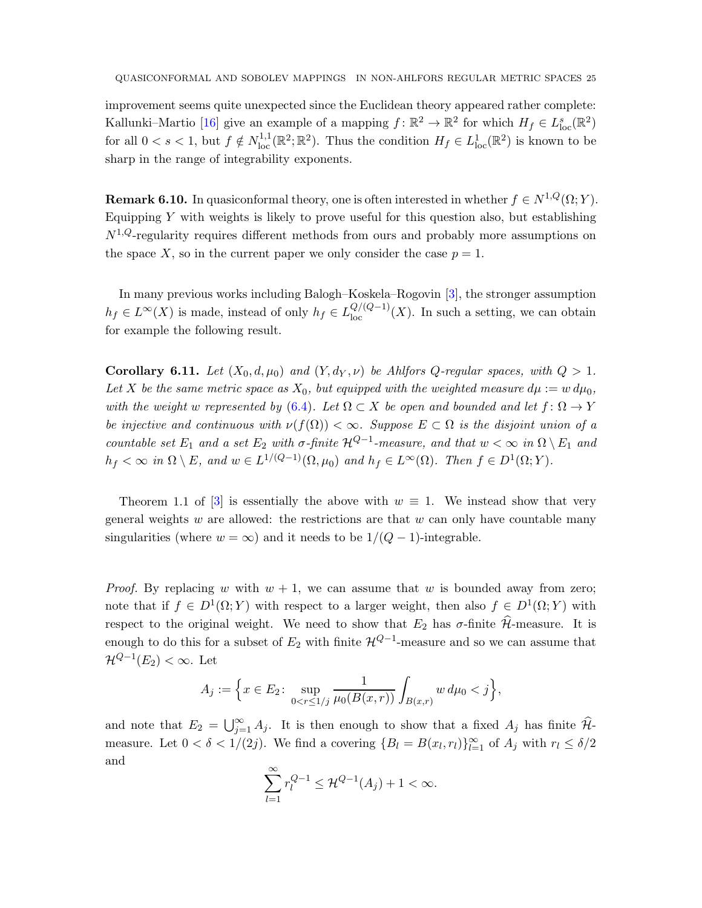<span id="page-24-1"></span>improvement seems quite unexpected since the Euclidean theory appeared rather complete: Kallunki–Martio [\[16\]](#page-26-2) give an example of a mapping  $f: \mathbb{R}^2 \to \mathbb{R}^2$  for which  $H_f \in L^s_{loc}(\mathbb{R}^2)$ for all  $0 < s < 1$ , but  $f \notin N^{1,1}_{loc}(\mathbb{R}^2;\mathbb{R}^2)$ . Thus the condition  $H_f \in L^1_{loc}(\mathbb{R}^2)$  is known to be sharp in the range of integrability exponents.

**Remark 6.10.** In quasiconformal theory, one is often interested in whether  $f \in N^{1,Q}(\Omega; Y)$ . Equipping  $Y$  with weights is likely to prove useful for this question also, but establishing  $N^{1,Q}$ -regularity requires different methods from ours and probably more assumptions on the space X, so in the current paper we only consider the case  $p = 1$ .

In many previous works including Balogh–Koskela–Rogovin [\[3\]](#page-25-3), the stronger assumption  $h_f \in L^{\infty}(X)$  is made, instead of only  $h_f \in L^{Q/(Q-1)}_{loc}(X)$ . In such a setting, we can obtain for example the following result.

<span id="page-24-0"></span>Corollary 6.11. Let  $(X_0, d, \mu_0)$  and  $(Y, d_Y, \nu)$  be Ahlfors Q-regular spaces, with  $Q > 1$ . Let X be the same metric space as  $X_0$ , but equipped with the weighted measure  $d\mu := w d\mu_0$ , with the weight w represented by [\(6.4\)](#page-21-0). Let  $\Omega \subset X$  be open and bounded and let  $f : \Omega \to Y$ be injective and continuous with  $\nu(f(\Omega)) < \infty$ . Suppose  $E \subset \Omega$  is the disjoint union of a countable set  $E_1$  and a set  $E_2$  with  $\sigma$ -finite  $\mathcal{H}^{Q-1}$ -measure, and that  $w < \infty$  in  $\Omega \setminus E_1$  and  $h_f < \infty$  in  $\Omega \setminus E$ , and  $w \in L^{1/(Q-1)}(\Omega, \mu_0)$  and  $h_f \in L^{\infty}(\Omega)$ . Then  $f \in D^1(\Omega; Y)$ .

Theorem 1.1 of [\[3\]](#page-25-3) is essentially the above with  $w \equiv 1$ . We instead show that very general weights w are allowed: the restrictions are that w can only have countable many singularities (where  $w = \infty$ ) and it needs to be  $1/(Q-1)$ -integrable.

*Proof.* By replacing w with  $w + 1$ , we can assume that w is bounded away from zero; note that if  $f \in D^1(\Omega; Y)$  with respect to a larger weight, then also  $f \in D^1(\Omega; Y)$  with respect to the original weight. We need to show that  $E_2$  has  $\sigma$ -finite  $\widehat{\mathcal{H}}$ -measure. It is enough to do this for a subset of  $E_2$  with finite  $\mathcal{H}^{Q-1}$ -measure and so we can assume that  $\mathcal{H}^{Q-1}(E_2) < \infty$ . Let

$$
A_j := \Big\{ x \in E_2 \colon \sup_{0 < r \le 1/j} \frac{1}{\mu_0(B(x, r))} \int_{B(x, r)} w \, d\mu_0 < j \Big\},\
$$

and note that  $E_2 = \bigcup_{j=1}^{\infty} A_j$ . It is then enough to show that a fixed  $A_j$  has finite  $\widehat{\mathcal{H}}$ measure. Let  $0 < \delta < 1/(2j)$ . We find a covering  $\{B_l = B(x_l, r_l)\}_{l=1}^{\infty}$  of  $A_j$  with  $r_l \le \delta/2$ and

$$
\sum_{l=1}^{\infty} r_l^{Q-1} \le \mathcal{H}^{Q-1}(A_j) + 1 < \infty.
$$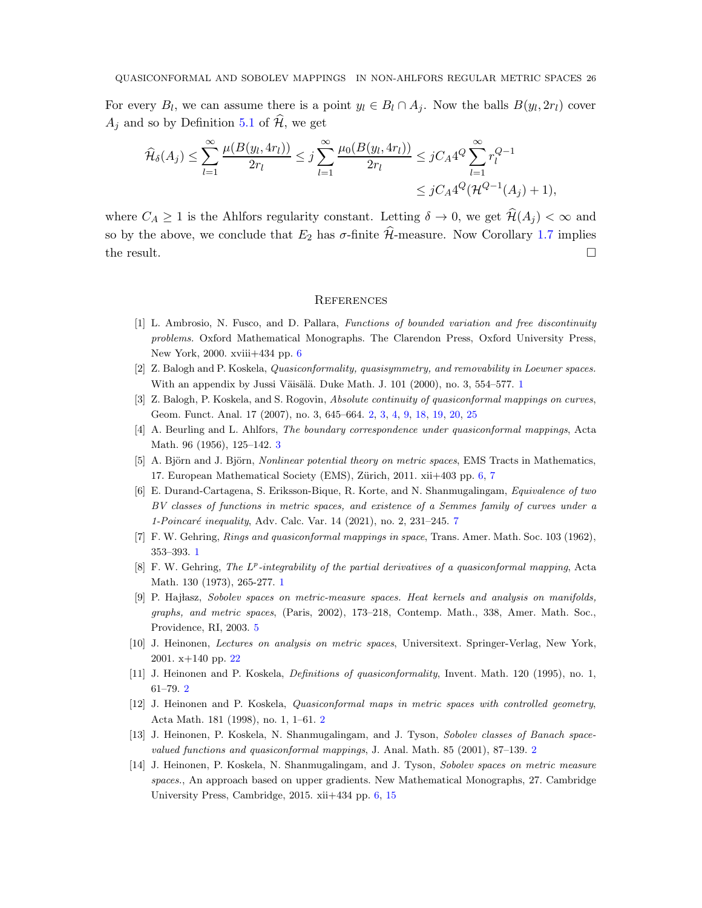For every  $B_l$ , we can assume there is a point  $y_l \in B_l \cap A_j$ . Now the balls  $B(y_l, 2r_l)$  cover  $A_i$  and so by Definition [5.1](#page-17-1) of  $\mathcal{H}$ , we get

$$
\widehat{\mathcal{H}}_{\delta}(A_j) \le \sum_{l=1}^{\infty} \frac{\mu(B(y_l, 4r_l))}{2r_l} \le j \sum_{l=1}^{\infty} \frac{\mu_0(B(y_l, 4r_l))}{2r_l} \le j C_A 4^Q \sum_{l=1}^{\infty} r_l^{Q-1}
$$
  

$$
\le j C_A 4^Q (\mathcal{H}^{Q-1}(A_j) + 1),
$$

where  $C_A \geq 1$  is the Ahlfors regularity constant. Letting  $\delta \to 0$ , we get  $\mathcal{H}(A_i) < \infty$  and so by the above, we conclude that  $E_2$  has  $\sigma$ -finite  $\hat{\mathcal{H}}$ -measure. Now Corollary [1.7](#page-3-0) implies the result.  $\Box$ 

#### **REFERENCES**

- <span id="page-25-9"></span>[1] L. Ambrosio, N. Fusco, and D. Pallara, Functions of bounded variation and free discontinuity problems. Oxford Mathematical Monographs. The Clarendon Press, Oxford University Press, New York, 2000. xviii+434 pp. [6](#page-5-6)
- <span id="page-25-3"></span><span id="page-25-2"></span>[2] Z. Balogh and P. Koskela, Quasiconformality, quasisymmetry, and removability in Loewner spaces. With an appendix by Jussi Väisälä. Duke Math. J.  $101$  $101$  (2000), no. 3, 554–577. 1
- <span id="page-25-7"></span>[3] Z. Balogh, P. Koskela, and S. Rogovin, *Absolute continuity of quasiconformal mappings on curves*, Geom. Funct. Anal. 17 (2007), no. 3, 645–664. [2,](#page-1-2) [3,](#page-2-0) [4,](#page-3-2) [9,](#page-8-3) [18,](#page-17-2) [19,](#page-18-1) [20,](#page-19-1) [25](#page-24-1)
- <span id="page-25-10"></span>[4] A. Beurling and L. Ahlfors, The boundary correspondence under quasiconformal mappings, Acta Math. 96 (1956), 125–142. [3](#page-2-0)
- <span id="page-25-12"></span>[5] A. Björn and J. Björn, *Nonlinear potential theory on metric spaces*, EMS Tracts in Mathematics, 1[7](#page-6-4). European Mathematical Society (EMS), Zürich,  $2011$ .  $xii+403$  pp. [6,](#page-5-6) 7
- [6] E. Durand-Cartagena, S. Eriksson-Bique, R. Korte, and N. Shanmugalingam, Equivalence of two BV classes of functions in metric spaces, and existence of a Semmes family of curves under a 1-Poincaré inequality, Adv. Calc. Var. 14 (2021), no. 2, 231-245. [7](#page-6-4)
- <span id="page-25-1"></span><span id="page-25-0"></span>[7] F. W. Gehring, Rings and quasiconformal mappings in space, Trans. Amer. Math. Soc. 103 (1962), 353–393. [1](#page-0-1)
- <span id="page-25-8"></span>[8] F. W. Gehring, The L<sup>p</sup>-integrability of the partial derivatives of a quasiconformal mapping, Acta Math. 130 (1973), 265-277. [1](#page-0-1)
- [9] P. Hajlasz, Sobolev spaces on metric-measure spaces. Heat kernels and analysis on manifolds, graphs, and metric spaces, (Paris, 2002), 173–218, Contemp. Math., 338, Amer. Math. Soc., Providence, RI, 2003. [5](#page-4-0)
- <span id="page-25-13"></span><span id="page-25-4"></span>[10] J. Heinonen, Lectures on analysis on metric spaces, Universitext. Springer-Verlag, New York, 2001. x+140 pp. [22](#page-21-4)
- <span id="page-25-5"></span>[11] J. Heinonen and P. Koskela, Definitions of quasiconformality, Invent. Math. 120 (1995), no. 1, 61–79. [2](#page-1-2)
- <span id="page-25-6"></span>[12] J. Heinonen and P. Koskela, Quasiconformal maps in metric spaces with controlled geometry, Acta Math. 181 (1998), no. 1, 1–61. [2](#page-1-2)
- <span id="page-25-11"></span>[13] J. Heinonen, P. Koskela, N. Shanmugalingam, and J. Tyson, Sobolev classes of Banach spacevalued functions and quasiconformal mappings, J. Anal. Math. 85 (2001), 87–139. [2](#page-1-2)
- [14] J. Heinonen, P. Koskela, N. Shanmugalingam, and J. Tyson, Sobolev spaces on metric measure spaces., An approach based on upper gradients. New Mathematical Monographs, 27. Cambridge University Press, Cambridge, 2015. xii+434 pp. [6,](#page-5-6) [15](#page-14-2)